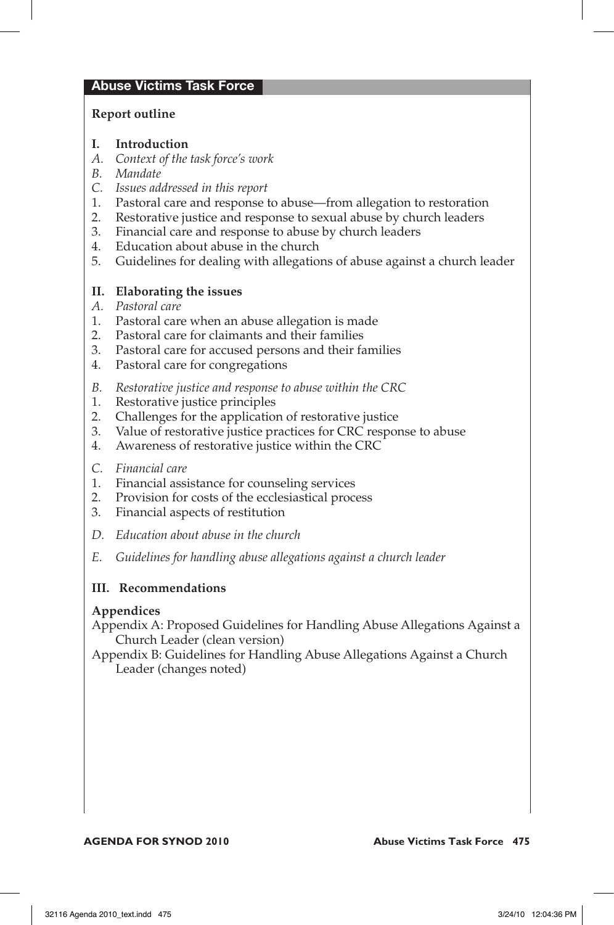## Abuse Victims Task Force

## **Report outline**

- **I. Introduction**
- *A. Context of the task force's work*
- *B. Mandate*
- *C. Issues addressed in this report*
- 1. Pastoral care and response to abuse—from allegation to restoration
- 2. Restorative justice and response to sexual abuse by church leaders
- 3. Financial care and response to abuse by church leaders
- 4. Education about abuse in the church
- 5. Guidelines for dealing with allegations of abuse against a church leader

## **II. Elaborating the issues**

- *A. Pastoral care*
- 1. Pastoral care when an abuse allegation is made
- 2. Pastoral care for claimants and their families
- 3. Pastoral care for accused persons and their families
- 4. Pastoral care for congregations
- *B. Restorative justice and response to abuse within the CRC*
- 1. Restorative justice principles
- 2. Challenges for the application of restorative justice
- 3. Value of restorative justice practices for CRC response to abuse
- 4. Awareness of restorative justice within the CRC
- *C. Financial care*
- 1. Financial assistance for counseling services
- 2. Provision for costs of the ecclesiastical process
- 3. Financial aspects of restitution
- *D. Education about abuse in the church*
- *E. Guidelines for handling abuse allegations against a church leader*

## **III. Recommendations**

## **Appendices**

Appendix A: Proposed Guidelines for Handling Abuse Allegations Against a Church Leader (clean version)

Appendix B: Guidelines for Handling Abuse Allegations Against a Church Leader (changes noted)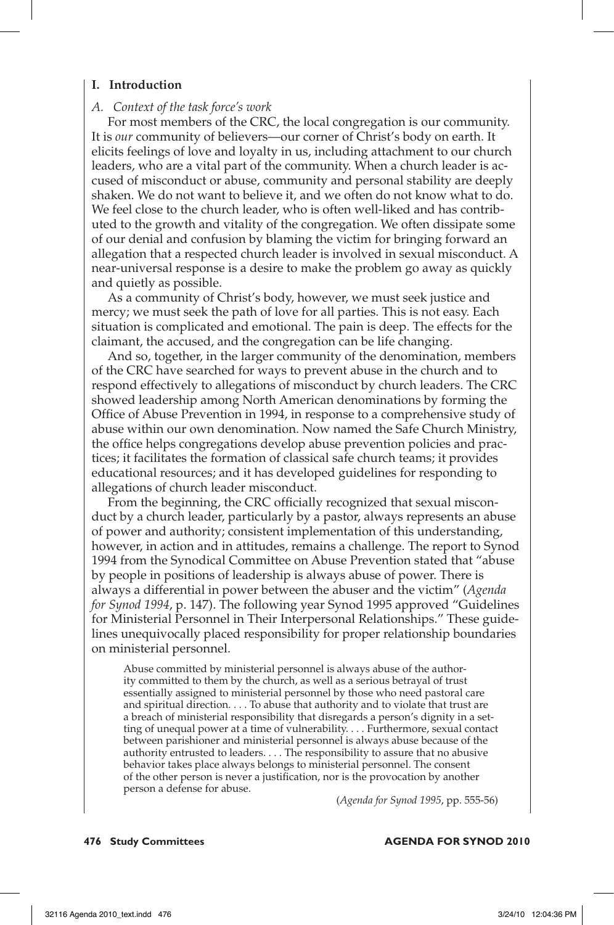#### **I. Introduction**

#### *A. Context of the task force's work*

For most members of the CRC, the local congregation is our community. It is *our* community of believers—our corner of Christ's body on earth. It elicits feelings of love and loyalty in us, including attachment to our church leaders, who are a vital part of the community. When a church leader is accused of misconduct or abuse, community and personal stability are deeply shaken. We do not want to believe it, and we often do not know what to do. We feel close to the church leader, who is often well-liked and has contributed to the growth and vitality of the congregation. We often dissipate some of our denial and confusion by blaming the victim for bringing forward an allegation that a respected church leader is involved in sexual misconduct. A near-universal response is a desire to make the problem go away as quickly and quietly as possible.

As a community of Christ's body, however, we must seek justice and mercy; we must seek the path of love for all parties. This is not easy. Each situation is complicated and emotional. The pain is deep. The effects for the claimant, the accused, and the congregation can be life changing.

And so, together, in the larger community of the denomination, members of the CRC have searched for ways to prevent abuse in the church and to respond effectively to allegations of misconduct by church leaders. The CRC showed leadership among North American denominations by forming the Office of Abuse Prevention in 1994, in response to a comprehensive study of abuse within our own denomination. Now named the Safe Church Ministry, the office helps congregations develop abuse prevention policies and practices; it facilitates the formation of classical safe church teams; it provides educational resources; and it has developed guidelines for responding to allegations of church leader misconduct.

From the beginning, the CRC officially recognized that sexual misconduct by a church leader, particularly by a pastor, always represents an abuse of power and authority; consistent implementation of this understanding, however, in action and in attitudes, remains a challenge. The report to Synod 1994 from the Synodical Committee on Abuse Prevention stated that "abuse by people in positions of leadership is always abuse of power. There is always a differential in power between the abuser and the victim" (*Agenda for Synod 1994*, p. 147). The following year Synod 1995 approved "Guidelines for Ministerial Personnel in Their Interpersonal Relationships." These guidelines unequivocally placed responsibility for proper relationship boundaries on ministerial personnel.

Abuse committed by ministerial personnel is always abuse of the authority committed to them by the church, as well as a serious betrayal of trust essentially assigned to ministerial personnel by those who need pastoral care and spiritual direction. . . . To abuse that authority and to violate that trust are a breach of ministerial responsibility that disregards a person's dignity in a setting of unequal power at a time of vulnerability. . . . Furthermore, sexual contact between parishioner and ministerial personnel is always abuse because of the authority entrusted to leaders. . . . The responsibility to assure that no abusive behavior takes place always belongs to ministerial personnel. The consent of the other person is never a justification, nor is the provocation by another person a defense for abuse.

(*Agenda for Synod 1995*, pp. 555-56)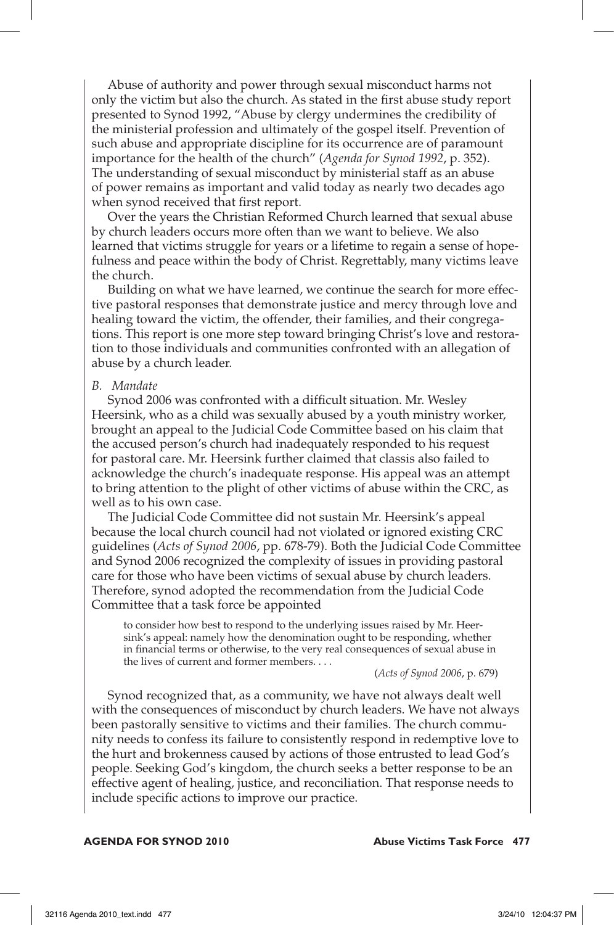Abuse of authority and power through sexual misconduct harms not only the victim but also the church. As stated in the first abuse study report presented to Synod 1992, "Abuse by clergy undermines the credibility of the ministerial profession and ultimately of the gospel itself. Prevention of such abuse and appropriate discipline for its occurrence are of paramount importance for the health of the church" (*Agenda for Synod 1992*, p. 352). The understanding of sexual misconduct by ministerial staff as an abuse of power remains as important and valid today as nearly two decades ago when synod received that first report.

Over the years the Christian Reformed Church learned that sexual abuse by church leaders occurs more often than we want to believe. We also learned that victims struggle for years or a lifetime to regain a sense of hopefulness and peace within the body of Christ. Regrettably, many victims leave the church.

Building on what we have learned, we continue the search for more effective pastoral responses that demonstrate justice and mercy through love and healing toward the victim, the offender, their families, and their congregations. This report is one more step toward bringing Christ's love and restoration to those individuals and communities confronted with an allegation of abuse by a church leader.

#### *B. Mandate*

Synod 2006 was confronted with a difficult situation. Mr. Wesley Heersink, who as a child was sexually abused by a youth ministry worker, brought an appeal to the Judicial Code Committee based on his claim that the accused person's church had inadequately responded to his request for pastoral care. Mr. Heersink further claimed that classis also failed to acknowledge the church's inadequate response. His appeal was an attempt to bring attention to the plight of other victims of abuse within the CRC, as well as to his own case.

The Judicial Code Committee did not sustain Mr. Heersink's appeal because the local church council had not violated or ignored existing CRC guidelines (*Acts of Synod 2006*, pp. 678-79). Both the Judicial Code Committee and Synod 2006 recognized the complexity of issues in providing pastoral care for those who have been victims of sexual abuse by church leaders. Therefore, synod adopted the recommendation from the Judicial Code Committee that a task force be appointed

to consider how best to respond to the underlying issues raised by Mr. Heersink's appeal: namely how the denomination ought to be responding, whether in financial terms or otherwise, to the very real consequences of sexual abuse in the lives of current and former members. . . .

(*Acts of Synod 2006*, p. 679)

Synod recognized that, as a community, we have not always dealt well with the consequences of misconduct by church leaders. We have not always been pastorally sensitive to victims and their families. The church community needs to confess its failure to consistently respond in redemptive love to the hurt and brokenness caused by actions of those entrusted to lead God's people. Seeking God's kingdom, the church seeks a better response to be an effective agent of healing, justice, and reconciliation. That response needs to include specific actions to improve our practice.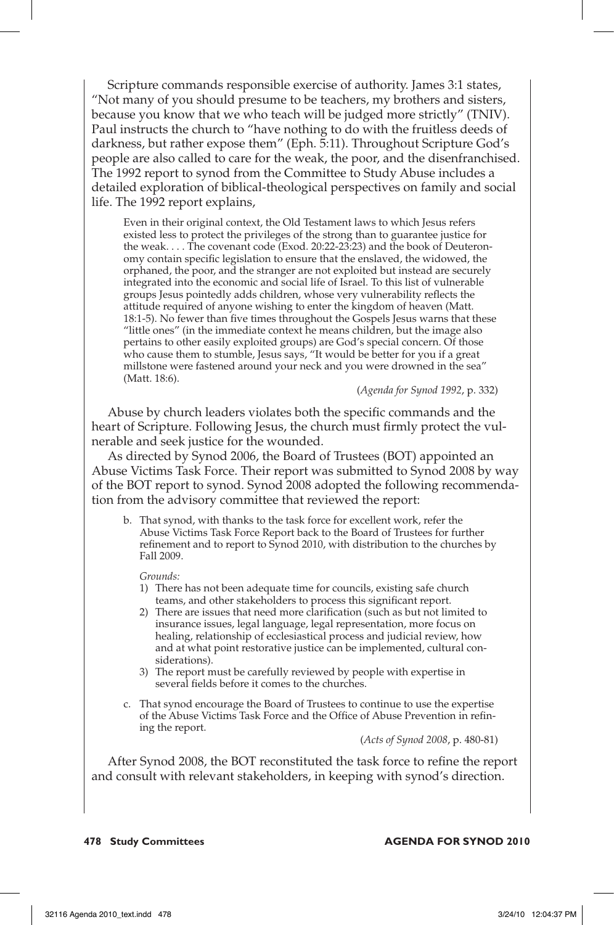Scripture commands responsible exercise of authority. James 3:1 states, "Not many of you should presume to be teachers, my brothers and sisters, because you know that we who teach will be judged more strictly" (TNIV). Paul instructs the church to "have nothing to do with the fruitless deeds of darkness, but rather expose them" (Eph. 5:11). Throughout Scripture God's people are also called to care for the weak, the poor, and the disenfranchised. The 1992 report to synod from the Committee to Study Abuse includes a detailed exploration of biblical-theological perspectives on family and social life. The 1992 report explains,

Even in their original context, the Old Testament laws to which Jesus refers existed less to protect the privileges of the strong than to guarantee justice for the weak. . . . The covenant code (Exod. 20:22-23:23) and the book of Deuteronomy contain specific legislation to ensure that the enslaved, the widowed, the orphaned, the poor, and the stranger are not exploited but instead are securely integrated into the economic and social life of Israel. To this list of vulnerable groups Jesus pointedly adds children, whose very vulnerability reflects the attitude required of anyone wishing to enter the kingdom of heaven (Matt. 18:1-5). No fewer than five times throughout the Gospels Jesus warns that these "little ones" (in the immediate context he means children, but the image also pertains to other easily exploited groups) are God's special concern. Of those who cause them to stumble, Jesus says, "It would be better for you if a great millstone were fastened around your neck and you were drowned in the sea" (Matt. 18:6).

(*Agenda for Synod 1992*, p. 332)

Abuse by church leaders violates both the specific commands and the heart of Scripture. Following Jesus, the church must firmly protect the vulnerable and seek justice for the wounded.

As directed by Synod 2006, the Board of Trustees (BOT) appointed an Abuse Victims Task Force. Their report was submitted to Synod 2008 by way of the BOT report to synod. Synod 2008 adopted the following recommendation from the advisory committee that reviewed the report:

b. That synod, with thanks to the task force for excellent work, refer the Abuse Victims Task Force Report back to the Board of Trustees for further refinement and to report to Synod 2010, with distribution to the churches by Fall 2009.

*Grounds:*

- 1) There has not been adequate time for councils, existing safe church teams, and other stakeholders to process this significant report.
- 2) There are issues that need more clarification (such as but not limited to insurance issues, legal language, legal representation, more focus on healing, relationship of ecclesiastical process and judicial review, how and at what point restorative justice can be implemented, cultural considerations).
- 3) The report must be carefully reviewed by people with expertise in several fields before it comes to the churches.
- c. That synod encourage the Board of Trustees to continue to use the expertise of the Abuse Victims Task Force and the Office of Abuse Prevention in refining the report.

(*Acts of Synod 2008*, p. 480-81)

After Synod 2008, the BOT reconstituted the task force to refine the report and consult with relevant stakeholders, in keeping with synod's direction.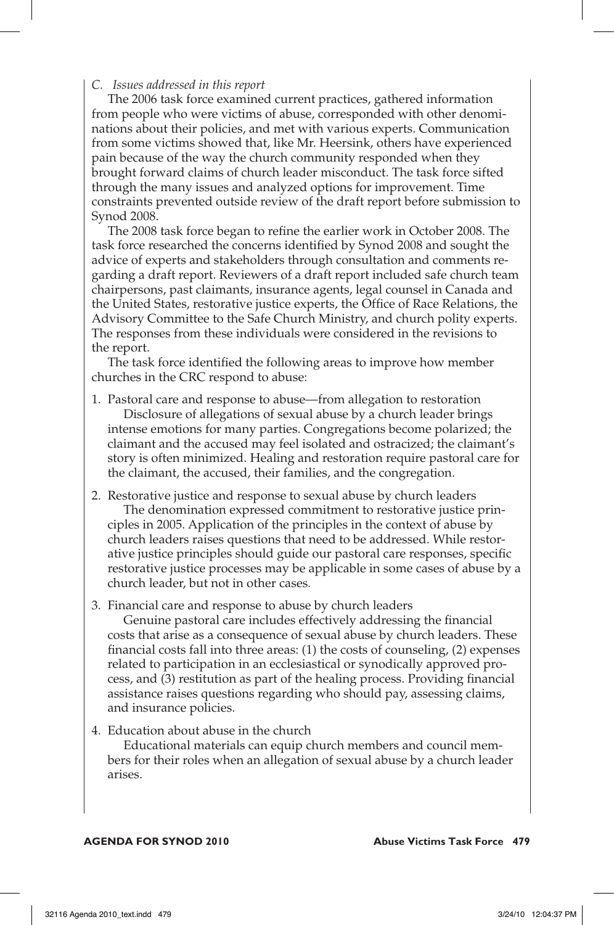## *C. Issues addressed in this report*

The 2006 task force examined current practices, gathered information from people who were victims of abuse, corresponded with other denominations about their policies, and met with various experts. Communication from some victims showed that, like Mr. Heersink, others have experienced pain because of the way the church community responded when they brought forward claims of church leader misconduct. The task force sifted through the many issues and analyzed options for improvement. Time constraints prevented outside review of the draft report before submission to Synod 2008.

The 2008 task force began to refine the earlier work in October 2008. The task force researched the concerns identified by Synod 2008 and sought the advice of experts and stakeholders through consultation and comments regarding a draft report. Reviewers of a draft report included safe church team chairpersons, past claimants, insurance agents, legal counsel in Canada and the United States, restorative justice experts, the Office of Race Relations, the Advisory Committee to the Safe Church Ministry, and church polity experts. The responses from these individuals were considered in the revisions to the report.

The task force identified the following areas to improve how member churches in the CRC respond to abuse:

- 1. Pastoral care and response to abuse—from allegation to restoration Disclosure of allegations of sexual abuse by a church leader brings intense emotions for many parties. Congregations become polarized; the claimant and the accused may feel isolated and ostracized; the claimant's story is often minimized. Healing and restoration require pastoral care for the claimant, the accused, their families, and the congregation.
- 2. Restorative justice and response to sexual abuse by church leaders The denomination expressed commitment to restorative justice principles in 2005. Application of the principles in the context of abuse by church leaders raises questions that need to be addressed. While restorative justice principles should guide our pastoral care responses, specific restorative justice processes may be applicable in some cases of abuse by a church leader, but not in other cases*.*
- 3. Financial care and response to abuse by church leaders

Genuine pastoral care includes effectively addressing the financial costs that arise as a consequence of sexual abuse by church leaders. These financial costs fall into three areas: (1) the costs of counseling, (2) expenses related to participation in an ecclesiastical or synodically approved process, and (3) restitution as part of the healing process. Providing financial assistance raises questions regarding who should pay, assessing claims, and insurance policies.

4. Education about abuse in the church

Educational materials can equip church members and council members for their roles when an allegation of sexual abuse by a church leader arises.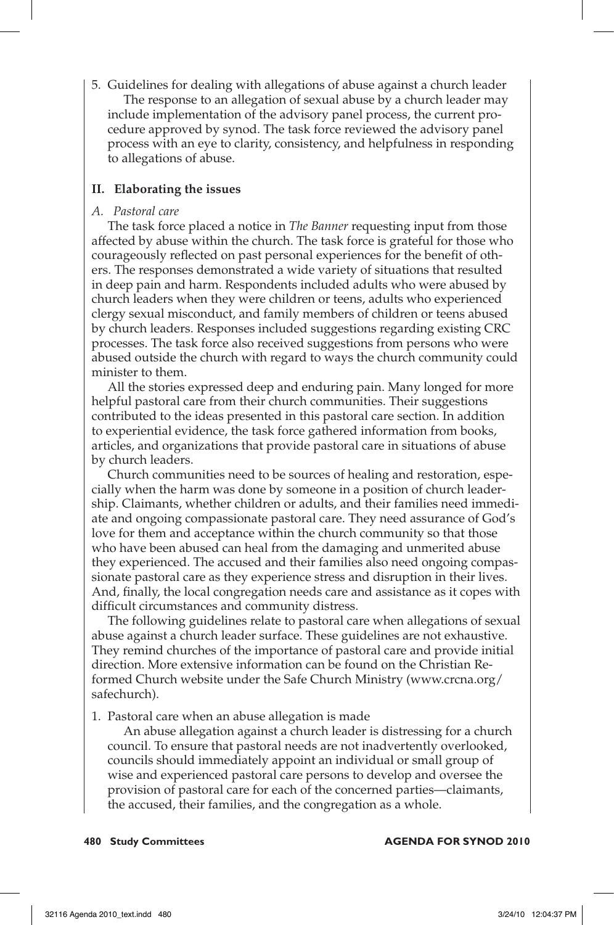5. Guidelines for dealing with allegations of abuse against a church leader The response to an allegation of sexual abuse by a church leader may include implementation of the advisory panel process, the current procedure approved by synod. The task force reviewed the advisory panel process with an eye to clarity, consistency, and helpfulness in responding to allegations of abuse.

## **II. Elaborating the issues**

## *A. Pastoral care*

The task force placed a notice in *The Banner* requesting input from those affected by abuse within the church. The task force is grateful for those who courageously reflected on past personal experiences for the benefit of others. The responses demonstrated a wide variety of situations that resulted in deep pain and harm. Respondents included adults who were abused by church leaders when they were children or teens, adults who experienced clergy sexual misconduct, and family members of children or teens abused by church leaders. Responses included suggestions regarding existing CRC processes. The task force also received suggestions from persons who were abused outside the church with regard to ways the church community could minister to them.

All the stories expressed deep and enduring pain. Many longed for more helpful pastoral care from their church communities. Their suggestions contributed to the ideas presented in this pastoral care section. In addition to experiential evidence, the task force gathered information from books, articles, and organizations that provide pastoral care in situations of abuse by church leaders.

Church communities need to be sources of healing and restoration, especially when the harm was done by someone in a position of church leadership. Claimants, whether children or adults, and their families need immediate and ongoing compassionate pastoral care. They need assurance of God's love for them and acceptance within the church community so that those who have been abused can heal from the damaging and unmerited abuse they experienced. The accused and their families also need ongoing compassionate pastoral care as they experience stress and disruption in their lives. And, finally, the local congregation needs care and assistance as it copes with difficult circumstances and community distress.

The following guidelines relate to pastoral care when allegations of sexual abuse against a church leader surface. These guidelines are not exhaustive. They remind churches of the importance of pastoral care and provide initial direction. More extensive information can be found on the Christian Reformed Church website under the Safe Church Ministry (www.crcna.org/ safechurch).

1. Pastoral care when an abuse allegation is made

An abuse allegation against a church leader is distressing for a church council. To ensure that pastoral needs are not inadvertently overlooked, councils should immediately appoint an individual or small group of wise and experienced pastoral care persons to develop and oversee the provision of pastoral care for each of the concerned parties—claimants, the accused, their families, and the congregation as a whole.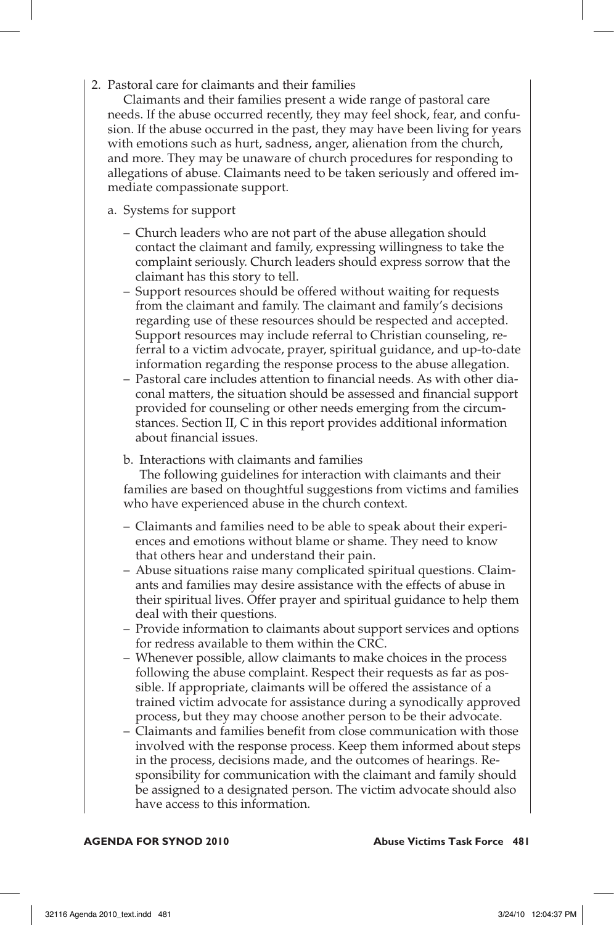2. Pastoral care for claimants and their families

Claimants and their families present a wide range of pastoral care needs. If the abuse occurred recently, they may feel shock, fear, and confusion. If the abuse occurred in the past, they may have been living for years with emotions such as hurt, sadness, anger, alienation from the church, and more. They may be unaware of church procedures for responding to allegations of abuse. Claimants need to be taken seriously and offered immediate compassionate support.

- a. Systems for support
	- Church leaders who are not part of the abuse allegation should contact the claimant and family, expressing willingness to take the complaint seriously. Church leaders should express sorrow that the claimant has this story to tell.
	- Support resources should be offered without waiting for requests from the claimant and family. The claimant and family's decisions regarding use of these resources should be respected and accepted. Support resources may include referral to Christian counseling, referral to a victim advocate, prayer, spiritual guidance, and up-to-date information regarding the response process to the abuse allegation.
	- Pastoral care includes attention to financial needs. As with other diaconal matters, the situation should be assessed and financial support provided for counseling or other needs emerging from the circumstances. Section II, C in this report provides additional information about financial issues.
	- b. Interactions with claimants and families

The following guidelines for interaction with claimants and their families are based on thoughtful suggestions from victims and families who have experienced abuse in the church context.

- Claimants and families need to be able to speak about their experiences and emotions without blame or shame. They need to know that others hear and understand their pain.
- Abuse situations raise many complicated spiritual questions. Claimants and families may desire assistance with the effects of abuse in their spiritual lives. Offer prayer and spiritual guidance to help them deal with their questions.
- Provide information to claimants about support services and options for redress available to them within the CRC.
- Whenever possible, allow claimants to make choices in the process following the abuse complaint. Respect their requests as far as possible. If appropriate, claimants will be offered the assistance of a trained victim advocate for assistance during a synodically approved process, but they may choose another person to be their advocate.
- Claimants and families benefit from close communication with those involved with the response process. Keep them informed about steps in the process, decisions made, and the outcomes of hearings. Responsibility for communication with the claimant and family should be assigned to a designated person. The victim advocate should also have access to this information.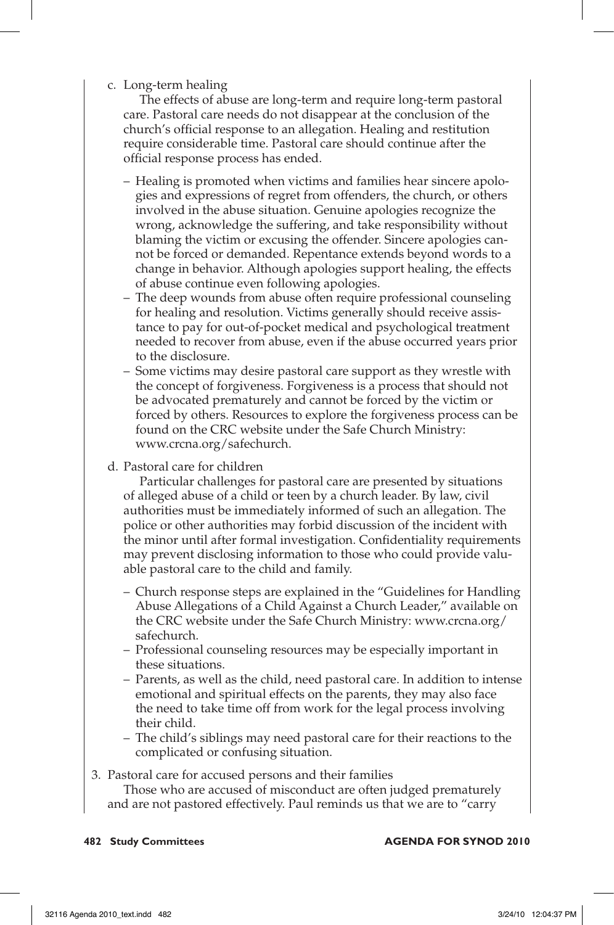## c. Long-term healing

The effects of abuse are long-term and require long-term pastoral care. Pastoral care needs do not disappear at the conclusion of the church's official response to an allegation. Healing and restitution require considerable time. Pastoral care should continue after the official response process has ended.

- Healing is promoted when victims and families hear sincere apologies and expressions of regret from offenders, the church, or others involved in the abuse situation. Genuine apologies recognize the wrong, acknowledge the suffering, and take responsibility without blaming the victim or excusing the offender. Sincere apologies cannot be forced or demanded. Repentance extends beyond words to a change in behavior. Although apologies support healing, the effects of abuse continue even following apologies.
- The deep wounds from abuse often require professional counseling for healing and resolution. Victims generally should receive assistance to pay for out-of-pocket medical and psychological treatment needed to recover from abuse, even if the abuse occurred years prior to the disclosure.
- Some victims may desire pastoral care support as they wrestle with the concept of forgiveness. Forgiveness is a process that should not be advocated prematurely and cannot be forced by the victim or forced by others. Resources to explore the forgiveness process can be found on the CRC website under the Safe Church Ministry: www.crcna.org/safechurch.
- d. Pastoral care for children

Particular challenges for pastoral care are presented by situations of alleged abuse of a child or teen by a church leader. By law, civil authorities must be immediately informed of such an allegation. The police or other authorities may forbid discussion of the incident with the minor until after formal investigation. Confidentiality requirements may prevent disclosing information to those who could provide valuable pastoral care to the child and family.

- Church response steps are explained in the "Guidelines for Handling Abuse Allegations of a Child Against a Church Leader," available on the CRC website under the Safe Church Ministry: www.crcna.org/ safechurch.
- Professional counseling resources may be especially important in these situations.
- Parents, as well as the child, need pastoral care. In addition to intense emotional and spiritual effects on the parents, they may also face the need to take time off from work for the legal process involving their child.
- The child's siblings may need pastoral care for their reactions to the complicated or confusing situation.

## 3. Pastoral care for accused persons and their families Those who are accused of misconduct are often judged prematurely and are not pastored effectively. Paul reminds us that we are to "carry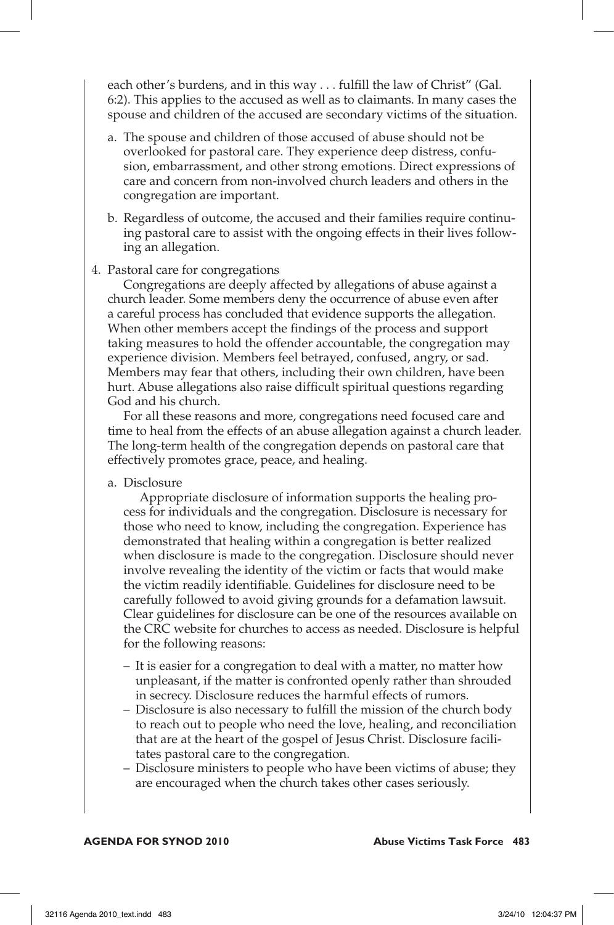each other's burdens, and in this way . . . fulfill the law of Christ" (Gal. 6:2). This applies to the accused as well as to claimants. In many cases the spouse and children of the accused are secondary victims of the situation.

- a. The spouse and children of those accused of abuse should not be overlooked for pastoral care. They experience deep distress, confusion, embarrassment, and other strong emotions. Direct expressions of care and concern from non-involved church leaders and others in the congregation are important.
- b. Regardless of outcome, the accused and their families require continuing pastoral care to assist with the ongoing effects in their lives following an allegation.

#### 4. Pastoral care for congregations

Congregations are deeply affected by allegations of abuse against a church leader. Some members deny the occurrence of abuse even after a careful process has concluded that evidence supports the allegation. When other members accept the findings of the process and support taking measures to hold the offender accountable, the congregation may experience division. Members feel betrayed, confused, angry, or sad. Members may fear that others, including their own children, have been hurt. Abuse allegations also raise difficult spiritual questions regarding God and his church.

For all these reasons and more, congregations need focused care and time to heal from the effects of an abuse allegation against a church leader. The long-term health of the congregation depends on pastoral care that effectively promotes grace, peace, and healing.

a. Disclosure

Appropriate disclosure of information supports the healing process for individuals and the congregation. Disclosure is necessary for those who need to know, including the congregation. Experience has demonstrated that healing within a congregation is better realized when disclosure is made to the congregation. Disclosure should never involve revealing the identity of the victim or facts that would make the victim readily identifiable. Guidelines for disclosure need to be carefully followed to avoid giving grounds for a defamation lawsuit. Clear guidelines for disclosure can be one of the resources available on the CRC website for churches to access as needed. Disclosure is helpful for the following reasons:

- It is easier for a congregation to deal with a matter, no matter how unpleasant, if the matter is confronted openly rather than shrouded in secrecy. Disclosure reduces the harmful effects of rumors.
- Disclosure is also necessary to fulfill the mission of the church body to reach out to people who need the love, healing, and reconciliation that are at the heart of the gospel of Jesus Christ. Disclosure facilitates pastoral care to the congregation.
- Disclosure ministers to people who have been victims of abuse; they are encouraged when the church takes other cases seriously.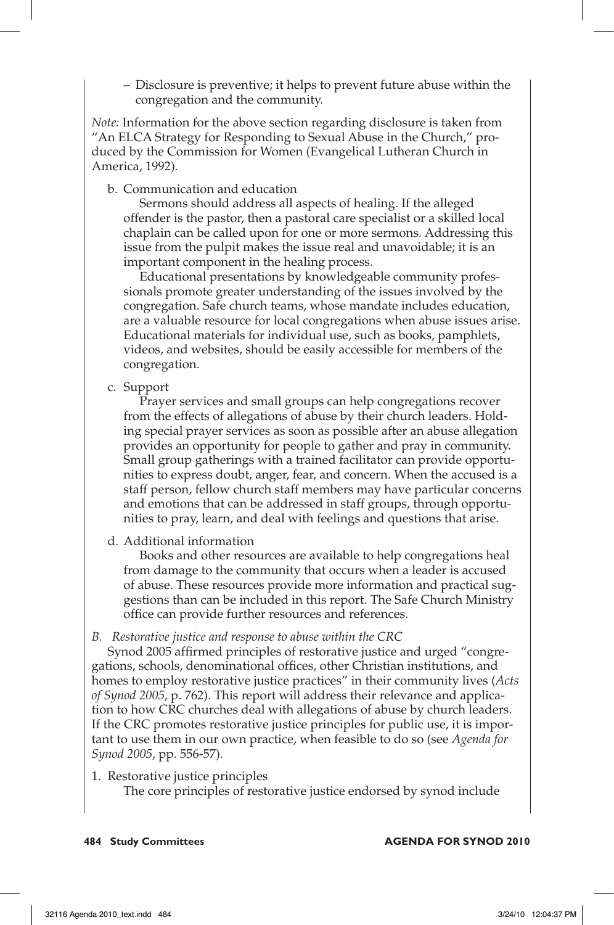– Disclosure is preventive; it helps to prevent future abuse within the congregation and the community.

*Note:* Information for the above section regarding disclosure is taken from "An ELCA Strategy for Responding to Sexual Abuse in the Church," produced by the Commission for Women (Evangelical Lutheran Church in America, 1992).

b. Communication and education

 Sermons should address all aspects of healing. If the alleged offender is the pastor, then a pastoral care specialist or a skilled local chaplain can be called upon for one or more sermons. Addressing this issue from the pulpit makes the issue real and unavoidable; it is an important component in the healing process.

 Educational presentations by knowledgeable community professionals promote greater understanding of the issues involved by the congregation. Safe church teams, whose mandate includes education, are a valuable resource for local congregations when abuse issues arise. Educational materials for individual use, such as books, pamphlets, videos, and websites, should be easily accessible for members of the congregation.

c. Support

 Prayer services and small groups can help congregations recover from the effects of allegations of abuse by their church leaders. Holding special prayer services as soon as possible after an abuse allegation provides an opportunity for people to gather and pray in community. Small group gatherings with a trained facilitator can provide opportunities to express doubt, anger, fear, and concern. When the accused is a staff person, fellow church staff members may have particular concerns and emotions that can be addressed in staff groups, through opportunities to pray, learn, and deal with feelings and questions that arise.

d. Additional information

 Books and other resources are available to help congregations heal from damage to the community that occurs when a leader is accused of abuse. These resources provide more information and practical suggestions than can be included in this report. The Safe Church Ministry office can provide further resources and references.

*B. Restorative justice and response to abuse within the CRC*

Synod 2005 affirmed principles of restorative justice and urged "congregations, schools, denominational offices, other Christian institutions, and homes to employ restorative justice practices" in their community lives (*Acts of Synod 2005*, p. 762). This report will address their relevance and application to how CRC churches deal with allegations of abuse by church leaders. If the CRC promotes restorative justice principles for public use, it is important to use them in our own practice, when feasible to do so (see *Agenda for Synod 2005*, pp. 556-57).

1. Restorative justice principles

The core principles of restorative justice endorsed by synod include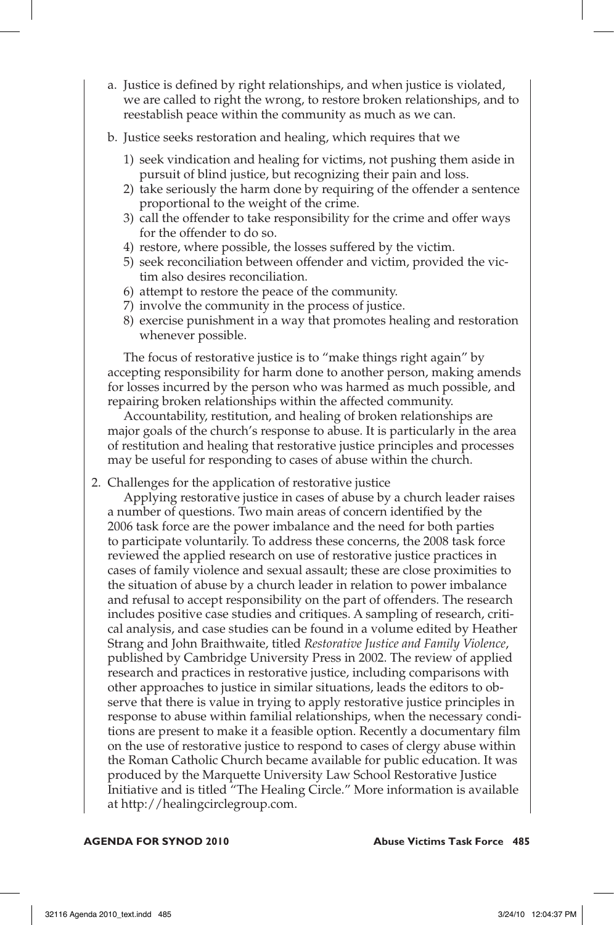- a. Justice is defined by right relationships, and when justice is violated, we are called to right the wrong, to restore broken relationships, and to reestablish peace within the community as much as we can.
- b. Justice seeks restoration and healing, which requires that we
	- 1) seek vindication and healing for victims, not pushing them aside in pursuit of blind justice, but recognizing their pain and loss.
	- 2) take seriously the harm done by requiring of the offender a sentence proportional to the weight of the crime.
	- 3) call the offender to take responsibility for the crime and offer ways for the offender to do so.
	- 4) restore, where possible, the losses suffered by the victim.
	- 5) seek reconciliation between offender and victim, provided the victim also desires reconciliation.
	- 6) attempt to restore the peace of the community.
	- 7) involve the community in the process of justice.
	- 8) exercise punishment in a way that promotes healing and restoration whenever possible.

 The focus of restorative justice is to "make things right again" by accepting responsibility for harm done to another person, making amends for losses incurred by the person who was harmed as much possible, and repairing broken relationships within the affected community.

 Accountability, restitution, and healing of broken relationships are major goals of the church's response to abuse. It is particularly in the area of restitution and healing that restorative justice principles and processes may be useful for responding to cases of abuse within the church.

2. Challenges for the application of restorative justice

 Applying restorative justice in cases of abuse by a church leader raises a number of questions. Two main areas of concern identified by the 2006 task force are the power imbalance and the need for both parties to participate voluntarily. To address these concerns, the 2008 task force reviewed the applied research on use of restorative justice practices in cases of family violence and sexual assault; these are close proximities to the situation of abuse by a church leader in relation to power imbalance and refusal to accept responsibility on the part of offenders. The research includes positive case studies and critiques. A sampling of research, critical analysis, and case studies can be found in a volume edited by Heather Strang and John Braithwaite, titled *Restorative Justice and Family Violence*, published by Cambridge University Press in 2002. The review of applied research and practices in restorative justice, including comparisons with other approaches to justice in similar situations, leads the editors to observe that there is value in trying to apply restorative justice principles in response to abuse within familial relationships, when the necessary conditions are present to make it a feasible option. Recently a documentary film on the use of restorative justice to respond to cases of clergy abuse within the Roman Catholic Church became available for public education. It was produced by the Marquette University Law School Restorative Justice Initiative and is titled "The Healing Circle." More information is available at http://healingcirclegroup.com.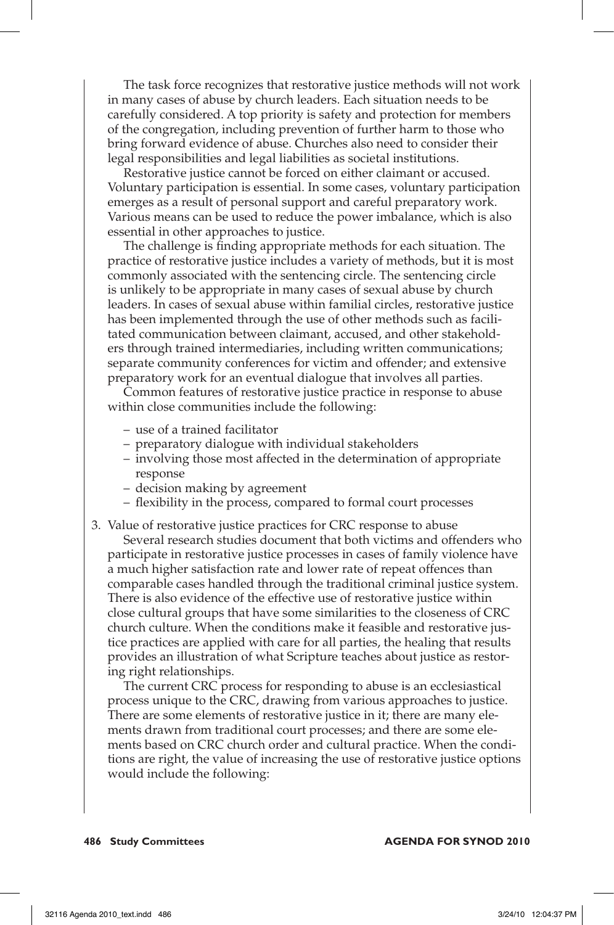The task force recognizes that restorative justice methods will not work in many cases of abuse by church leaders. Each situation needs to be carefully considered. A top priority is safety and protection for members of the congregation, including prevention of further harm to those who bring forward evidence of abuse. Churches also need to consider their legal responsibilities and legal liabilities as societal institutions.

 Restorative justice cannot be forced on either claimant or accused. Voluntary participation is essential. In some cases, voluntary participation emerges as a result of personal support and careful preparatory work. Various means can be used to reduce the power imbalance, which is also essential in other approaches to justice.

 The challenge is finding appropriate methods for each situation. The practice of restorative justice includes a variety of methods, but it is most commonly associated with the sentencing circle. The sentencing circle is unlikely to be appropriate in many cases of sexual abuse by church leaders. In cases of sexual abuse within familial circles, restorative justice has been implemented through the use of other methods such as facilitated communication between claimant, accused, and other stakeholders through trained intermediaries, including written communications; separate community conferences for victim and offender; and extensive preparatory work for an eventual dialogue that involves all parties.

 Common features of restorative justice practice in response to abuse within close communities include the following:

- use of a trained facilitator
- preparatory dialogue with individual stakeholders
- involving those most affected in the determination of appropriate response
- decision making by agreement
- flexibility in the process, compared to formal court processes
- 3. Value of restorative justice practices for CRC response to abuse Several research studies document that both victims and offenders who participate in restorative justice processes in cases of family violence have a much higher satisfaction rate and lower rate of repeat offences than comparable cases handled through the traditional criminal justice system. There is also evidence of the effective use of restorative justice within close cultural groups that have some similarities to the closeness of CRC church culture. When the conditions make it feasible and restorative justice practices are applied with care for all parties, the healing that results provides an illustration of what Scripture teaches about justice as restoring right relationships.

 The current CRC process for responding to abuse is an ecclesiastical process unique to the CRC, drawing from various approaches to justice. There are some elements of restorative justice in it; there are many elements drawn from traditional court processes; and there are some elements based on CRC church order and cultural practice. When the conditions are right, the value of increasing the use of restorative justice options would include the following: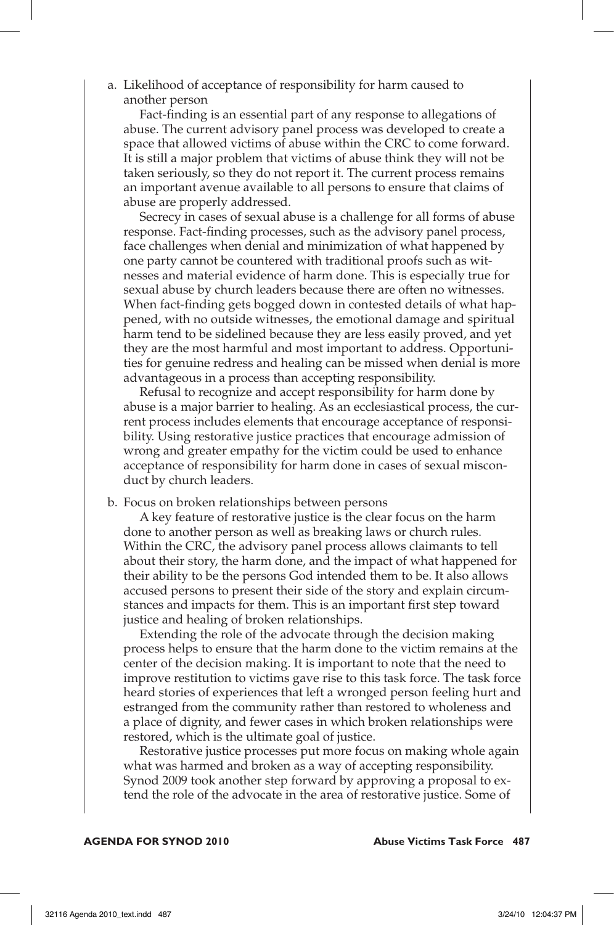a. Likelihood of acceptance of responsibility for harm caused to another person

 Fact-finding is an essential part of any response to allegations of abuse. The current advisory panel process was developed to create a space that allowed victims of abuse within the CRC to come forward. It is still a major problem that victims of abuse think they will not be taken seriously, so they do not report it. The current process remains an important avenue available to all persons to ensure that claims of abuse are properly addressed.

Secrecy in cases of sexual abuse is a challenge for all forms of abuse response. Fact-finding processes, such as the advisory panel process, face challenges when denial and minimization of what happened by one party cannot be countered with traditional proofs such as witnesses and material evidence of harm done. This is especially true for sexual abuse by church leaders because there are often no witnesses. When fact-finding gets bogged down in contested details of what happened, with no outside witnesses, the emotional damage and spiritual harm tend to be sidelined because they are less easily proved, and yet they are the most harmful and most important to address. Opportunities for genuine redress and healing can be missed when denial is more advantageous in a process than accepting responsibility.

 Refusal to recognize and accept responsibility for harm done by abuse is a major barrier to healing. As an ecclesiastical process, the current process includes elements that encourage acceptance of responsibility. Using restorative justice practices that encourage admission of wrong and greater empathy for the victim could be used to enhance acceptance of responsibility for harm done in cases of sexual misconduct by church leaders.

b. Focus on broken relationships between persons

 A key feature of restorative justice is the clear focus on the harm done to another person as well as breaking laws or church rules. Within the CRC, the advisory panel process allows claimants to tell about their story, the harm done, and the impact of what happened for their ability to be the persons God intended them to be. It also allows accused persons to present their side of the story and explain circumstances and impacts for them. This is an important first step toward justice and healing of broken relationships.

 Extending the role of the advocate through the decision making process helps to ensure that the harm done to the victim remains at the center of the decision making. It is important to note that the need to improve restitution to victims gave rise to this task force. The task force heard stories of experiences that left a wronged person feeling hurt and estranged from the community rather than restored to wholeness and a place of dignity, and fewer cases in which broken relationships were restored, which is the ultimate goal of justice.

 Restorative justice processes put more focus on making whole again what was harmed and broken as a way of accepting responsibility. Synod 2009 took another step forward by approving a proposal to extend the role of the advocate in the area of restorative justice. Some of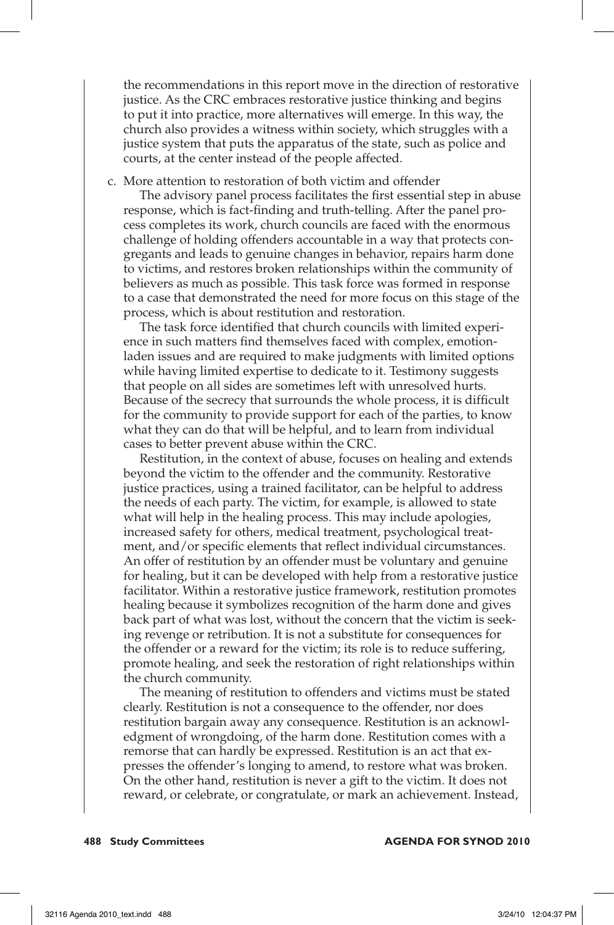the recommendations in this report move in the direction of restorative justice. As the CRC embraces restorative justice thinking and begins to put it into practice, more alternatives will emerge. In this way, the church also provides a witness within society, which struggles with a justice system that puts the apparatus of the state, such as police and courts, at the center instead of the people affected.

c. More attention to restoration of both victim and offender

 The advisory panel process facilitates the first essential step in abuse response, which is fact-finding and truth-telling. After the panel process completes its work, church councils are faced with the enormous challenge of holding offenders accountable in a way that protects congregants and leads to genuine changes in behavior, repairs harm done to victims, and restores broken relationships within the community of believers as much as possible. This task force was formed in response to a case that demonstrated the need for more focus on this stage of the process, which is about restitution and restoration.

 The task force identified that church councils with limited experience in such matters find themselves faced with complex, emotionladen issues and are required to make judgments with limited options while having limited expertise to dedicate to it. Testimony suggests that people on all sides are sometimes left with unresolved hurts. Because of the secrecy that surrounds the whole process, it is difficult for the community to provide support for each of the parties, to know what they can do that will be helpful, and to learn from individual cases to better prevent abuse within the CRC.

 Restitution, in the context of abuse, focuses on healing and extends beyond the victim to the offender and the community. Restorative justice practices, using a trained facilitator, can be helpful to address the needs of each party. The victim, for example, is allowed to state what will help in the healing process. This may include apologies, increased safety for others, medical treatment, psychological treatment, and/or specific elements that reflect individual circumstances. An offer of restitution by an offender must be voluntary and genuine for healing, but it can be developed with help from a restorative justice facilitator. Within a restorative justice framework, restitution promotes healing because it symbolizes recognition of the harm done and gives back part of what was lost, without the concern that the victim is seeking revenge or retribution. It is not a substitute for consequences for the offender or a reward for the victim; its role is to reduce suffering, promote healing, and seek the restoration of right relationships within the church community.

 The meaning of restitution to offenders and victims must be stated clearly. Restitution is not a consequence to the offender, nor does restitution bargain away any consequence. Restitution is an acknowledgment of wrongdoing, of the harm done. Restitution comes with a remorse that can hardly be expressed. Restitution is an act that expresses the offender's longing to amend, to restore what was broken. On the other hand, restitution is never a gift to the victim. It does not reward, or celebrate, or congratulate, or mark an achievement. Instead,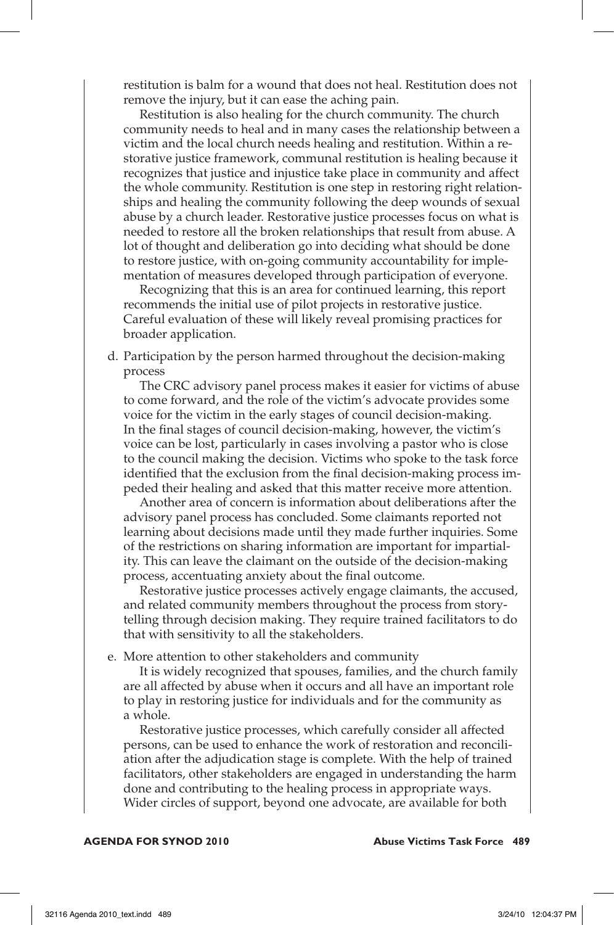restitution is balm for a wound that does not heal. Restitution does not remove the injury, but it can ease the aching pain.

 Restitution is also healing for the church community. The church community needs to heal and in many cases the relationship between a victim and the local church needs healing and restitution. Within a restorative justice framework, communal restitution is healing because it recognizes that justice and injustice take place in community and affect the whole community. Restitution is one step in restoring right relationships and healing the community following the deep wounds of sexual abuse by a church leader. Restorative justice processes focus on what is needed to restore all the broken relationships that result from abuse. A lot of thought and deliberation go into deciding what should be done to restore justice, with on-going community accountability for implementation of measures developed through participation of everyone.

 Recognizing that this is an area for continued learning, this report recommends the initial use of pilot projects in restorative justice. Careful evaluation of these will likely reveal promising practices for broader application.

d. Participation by the person harmed throughout the decision-making process

 The CRC advisory panel process makes it easier for victims of abuse to come forward, and the role of the victim's advocate provides some voice for the victim in the early stages of council decision-making. In the final stages of council decision-making, however, the victim's voice can be lost, particularly in cases involving a pastor who is close to the council making the decision. Victims who spoke to the task force identified that the exclusion from the final decision-making process impeded their healing and asked that this matter receive more attention.

 Another area of concern is information about deliberations after the advisory panel process has concluded. Some claimants reported not learning about decisions made until they made further inquiries. Some of the restrictions on sharing information are important for impartiality. This can leave the claimant on the outside of the decision-making process, accentuating anxiety about the final outcome.

 Restorative justice processes actively engage claimants, the accused, and related community members throughout the process from storytelling through decision making. They require trained facilitators to do that with sensitivity to all the stakeholders.

e. More attention to other stakeholders and community

 It is widely recognized that spouses, families, and the church family are all affected by abuse when it occurs and all have an important role to play in restoring justice for individuals and for the community as a whole.

 Restorative justice processes, which carefully consider all affected persons, can be used to enhance the work of restoration and reconciliation after the adjudication stage is complete. With the help of trained facilitators, other stakeholders are engaged in understanding the harm done and contributing to the healing process in appropriate ways. Wider circles of support, beyond one advocate, are available for both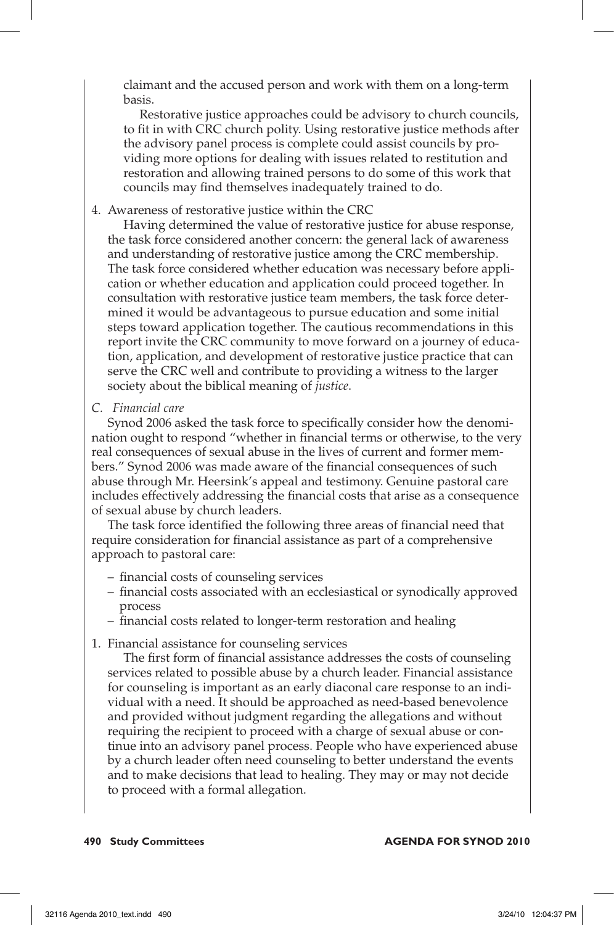claimant and the accused person and work with them on a long-term basis.

 Restorative justice approaches could be advisory to church councils, to fit in with CRC church polity. Using restorative justice methods after the advisory panel process is complete could assist councils by providing more options for dealing with issues related to restitution and restoration and allowing trained persons to do some of this work that councils may find themselves inadequately trained to do.

4. Awareness of restorative justice within the CRC

 Having determined the value of restorative justice for abuse response, the task force considered another concern: the general lack of awareness and understanding of restorative justice among the CRC membership. The task force considered whether education was necessary before application or whether education and application could proceed together. In consultation with restorative justice team members, the task force determined it would be advantageous to pursue education and some initial steps toward application together. The cautious recommendations in this report invite the CRC community to move forward on a journey of education, application, and development of restorative justice practice that can serve the CRC well and contribute to providing a witness to the larger society about the biblical meaning of *justice*.

*C. Financial care* 

Synod 2006 asked the task force to specifically consider how the denomination ought to respond "whether in financial terms or otherwise, to the very real consequences of sexual abuse in the lives of current and former members." Synod 2006 was made aware of the financial consequences of such abuse through Mr. Heersink's appeal and testimony. Genuine pastoral care includes effectively addressing the financial costs that arise as a consequence of sexual abuse by church leaders.

The task force identified the following three areas of financial need that require consideration for financial assistance as part of a comprehensive approach to pastoral care:

- financial costs of counseling services
- financial costs associated with an ecclesiastical or synodically approved process
- financial costs related to longer-term restoration and healing
- 1. Financial assistance for counseling services

 The first form of financial assistance addresses the costs of counseling services related to possible abuse by a church leader. Financial assistance for counseling is important as an early diaconal care response to an individual with a need. It should be approached as need-based benevolence and provided without judgment regarding the allegations and without requiring the recipient to proceed with a charge of sexual abuse or continue into an advisory panel process. People who have experienced abuse by a church leader often need counseling to better understand the events and to make decisions that lead to healing. They may or may not decide to proceed with a formal allegation.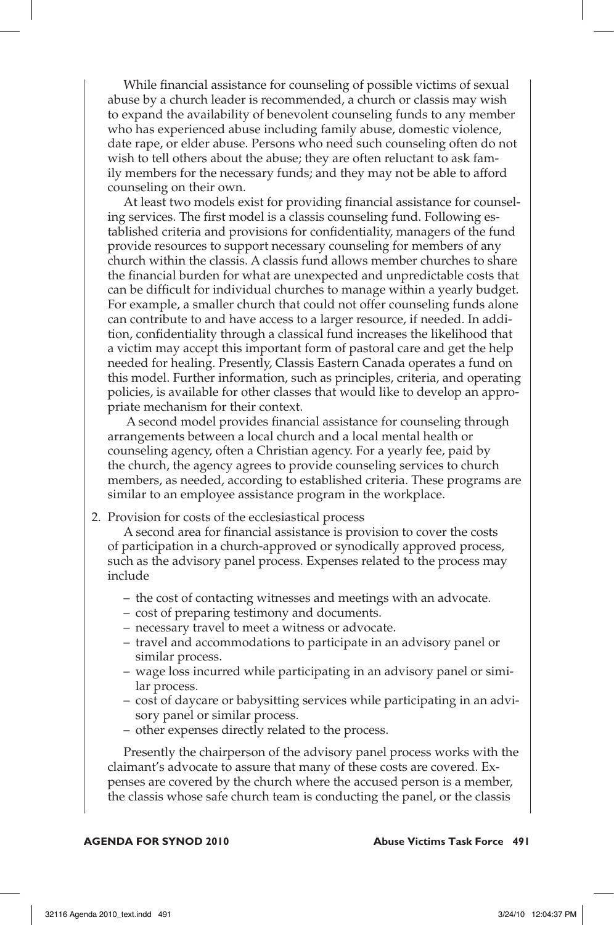While financial assistance for counseling of possible victims of sexual abuse by a church leader is recommended, a church or classis may wish to expand the availability of benevolent counseling funds to any member who has experienced abuse including family abuse, domestic violence, date rape, or elder abuse. Persons who need such counseling often do not wish to tell others about the abuse; they are often reluctant to ask family members for the necessary funds; and they may not be able to afford counseling on their own.

 At least two models exist for providing financial assistance for counseling services. The first model is a classis counseling fund. Following established criteria and provisions for confidentiality, managers of the fund provide resources to support necessary counseling for members of any church within the classis. A classis fund allows member churches to share the financial burden for what are unexpected and unpredictable costs that can be difficult for individual churches to manage within a yearly budget. For example, a smaller church that could not offer counseling funds alone can contribute to and have access to a larger resource, if needed. In addition, confidentiality through a classical fund increases the likelihood that a victim may accept this important form of pastoral care and get the help needed for healing. Presently, Classis Eastern Canada operates a fund on this model. Further information, such as principles, criteria, and operating policies, is available for other classes that would like to develop an appropriate mechanism for their context.

 A second model provides financial assistance for counseling through arrangements between a local church and a local mental health or counseling agency, often a Christian agency. For a yearly fee, paid by the church, the agency agrees to provide counseling services to church members, as needed, according to established criteria. These programs are similar to an employee assistance program in the workplace.

2. Provision for costs of the ecclesiastical process

 A second area for financial assistance is provision to cover the costs of participation in a church-approved or synodically approved process, such as the advisory panel process. Expenses related to the process may include

- the cost of contacting witnesses and meetings with an advocate.
- cost of preparing testimony and documents.
- necessary travel to meet a witness or advocate.
- travel and accommodations to participate in an advisory panel or similar process.
- wage loss incurred while participating in an advisory panel or similar process.
- cost of daycare or babysitting services while participating in an advisory panel or similar process.
- other expenses directly related to the process.

 Presently the chairperson of the advisory panel process works with the claimant's advocate to assure that many of these costs are covered. Expenses are covered by the church where the accused person is a member, the classis whose safe church team is conducting the panel, or the classis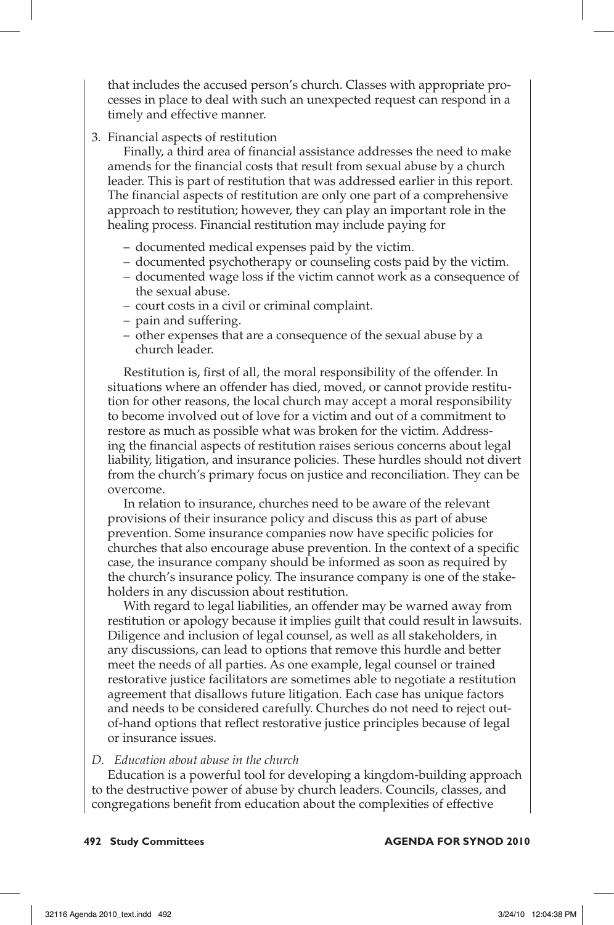that includes the accused person's church. Classes with appropriate processes in place to deal with such an unexpected request can respond in a timely and effective manner.

3. Financial aspects of restitution

 Finally, a third area of financial assistance addresses the need to make amends for the financial costs that result from sexual abuse by a church leader. This is part of restitution that was addressed earlier in this report. The financial aspects of restitution are only one part of a comprehensive approach to restitution; however, they can play an important role in the healing process. Financial restitution may include paying for

- documented medical expenses paid by the victim.
- documented psychotherapy or counseling costs paid by the victim.
- documented wage loss if the victim cannot work as a consequence of the sexual abuse.
- court costs in a civil or criminal complaint.
- pain and suffering.
- other expenses that are a consequence of the sexual abuse by a church leader.

 Restitution is, first of all, the moral responsibility of the offender. In situations where an offender has died, moved, or cannot provide restitution for other reasons, the local church may accept a moral responsibility to become involved out of love for a victim and out of a commitment to restore as much as possible what was broken for the victim. Addressing the financial aspects of restitution raises serious concerns about legal liability, litigation, and insurance policies. These hurdles should not divert from the church's primary focus on justice and reconciliation. They can be overcome.

 In relation to insurance, churches need to be aware of the relevant provisions of their insurance policy and discuss this as part of abuse prevention. Some insurance companies now have specific policies for churches that also encourage abuse prevention. In the context of a specific case, the insurance company should be informed as soon as required by the church's insurance policy. The insurance company is one of the stakeholders in any discussion about restitution.

 With regard to legal liabilities, an offender may be warned away from restitution or apology because it implies guilt that could result in lawsuits. Diligence and inclusion of legal counsel, as well as all stakeholders, in any discussions, can lead to options that remove this hurdle and better meet the needs of all parties. As one example, legal counsel or trained restorative justice facilitators are sometimes able to negotiate a restitution agreement that disallows future litigation. Each case has unique factors and needs to be considered carefully. Churches do not need to reject outof-hand options that reflect restorative justice principles because of legal or insurance issues.

## *D. Education about abuse in the church*

Education is a powerful tool for developing a kingdom-building approach to the destructive power of abuse by church leaders. Councils, classes, and congregations benefit from education about the complexities of effective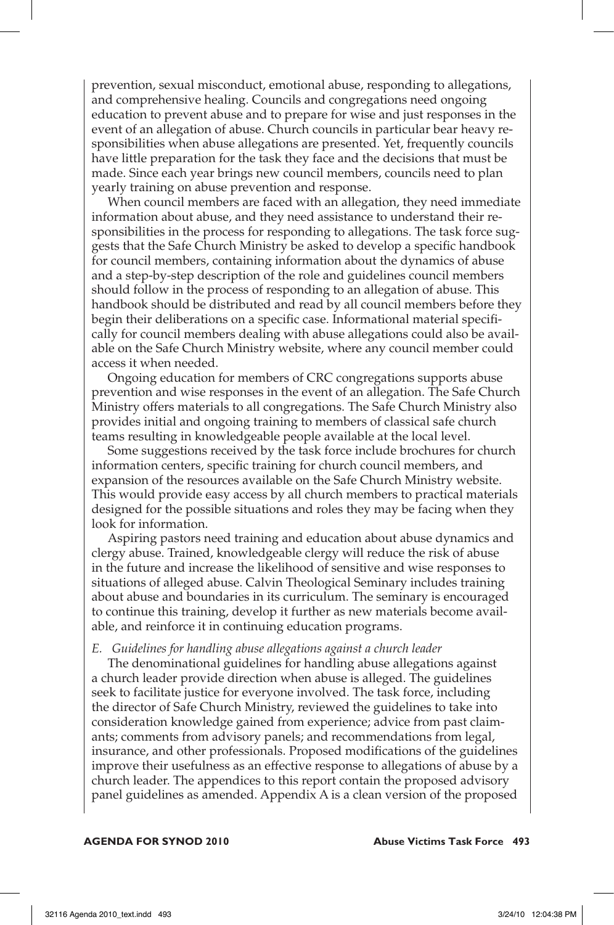prevention, sexual misconduct, emotional abuse, responding to allegations, and comprehensive healing. Councils and congregations need ongoing education to prevent abuse and to prepare for wise and just responses in the event of an allegation of abuse. Church councils in particular bear heavy responsibilities when abuse allegations are presented. Yet, frequently councils have little preparation for the task they face and the decisions that must be made. Since each year brings new council members, councils need to plan yearly training on abuse prevention and response.

When council members are faced with an allegation, they need immediate information about abuse, and they need assistance to understand their responsibilities in the process for responding to allegations. The task force suggests that the Safe Church Ministry be asked to develop a specific handbook for council members, containing information about the dynamics of abuse and a step-by-step description of the role and guidelines council members should follow in the process of responding to an allegation of abuse. This handbook should be distributed and read by all council members before they begin their deliberations on a specific case. Informational material specifically for council members dealing with abuse allegations could also be available on the Safe Church Ministry website, where any council member could access it when needed.

Ongoing education for members of CRC congregations supports abuse prevention and wise responses in the event of an allegation. The Safe Church Ministry offers materials to all congregations. The Safe Church Ministry also provides initial and ongoing training to members of classical safe church teams resulting in knowledgeable people available at the local level.

Some suggestions received by the task force include brochures for church information centers, specific training for church council members, and expansion of the resources available on the Safe Church Ministry website. This would provide easy access by all church members to practical materials designed for the possible situations and roles they may be facing when they look for information.

Aspiring pastors need training and education about abuse dynamics and clergy abuse. Trained, knowledgeable clergy will reduce the risk of abuse in the future and increase the likelihood of sensitive and wise responses to situations of alleged abuse. Calvin Theological Seminary includes training about abuse and boundaries in its curriculum. The seminary is encouraged to continue this training, develop it further as new materials become available, and reinforce it in continuing education programs.

#### *E. Guidelines for handling abuse allegations against a church leader*

The denominational guidelines for handling abuse allegations against a church leader provide direction when abuse is alleged. The guidelines seek to facilitate justice for everyone involved. The task force, including the director of Safe Church Ministry, reviewed the guidelines to take into consideration knowledge gained from experience; advice from past claimants; comments from advisory panels; and recommendations from legal, insurance, and other professionals. Proposed modifications of the guidelines improve their usefulness as an effective response to allegations of abuse by a church leader. The appendices to this report contain the proposed advisory panel guidelines as amended. Appendix A is a clean version of the proposed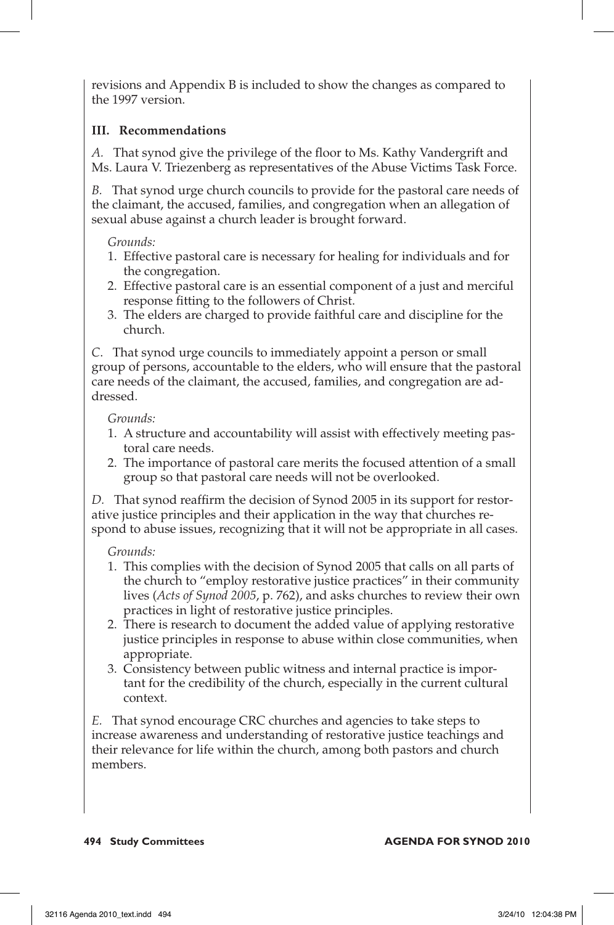revisions and Appendix B is included to show the changes as compared to the 1997 version.

# **III. Recommendations**

*A.* That synod give the privilege of the floor to Ms. Kathy Vandergrift and Ms. Laura V. Triezenberg as representatives of the Abuse Victims Task Force.

*B.* That synod urge church councils to provide for the pastoral care needs of the claimant, the accused, families, and congregation when an allegation of sexual abuse against a church leader is brought forward.

## *Grounds:*

- 1. Effective pastoral care is necessary for healing for individuals and for the congregation.
- 2. Effective pastoral care is an essential component of a just and merciful response fitting to the followers of Christ.
- 3. The elders are charged to provide faithful care and discipline for the church.

*C*. That synod urge councils to immediately appoint a person or small group of persons, accountable to the elders, who will ensure that the pastoral care needs of the claimant, the accused, families, and congregation are addressed.

## *Grounds:*

- 1. A structure and accountability will assist with effectively meeting pastoral care needs.
- 2. The importance of pastoral care merits the focused attention of a small group so that pastoral care needs will not be overlooked.

*D.* That synod reaffirm the decision of Synod 2005 in its support for restorative justice principles and their application in the way that churches respond to abuse issues, recognizing that it will not be appropriate in all cases.

# *Grounds:*

- 1. This complies with the decision of Synod 2005 that calls on all parts of the church to "employ restorative justice practices" in their community lives (*Acts of Synod 2005*, p. 762), and asks churches to review their own practices in light of restorative justice principles.
- 2. There is research to document the added value of applying restorative justice principles in response to abuse within close communities, when appropriate.
- 3. Consistency between public witness and internal practice is important for the credibility of the church, especially in the current cultural context.

*E.* That synod encourage CRC churches and agencies to take steps to increase awareness and understanding of restorative justice teachings and their relevance for life within the church, among both pastors and church members.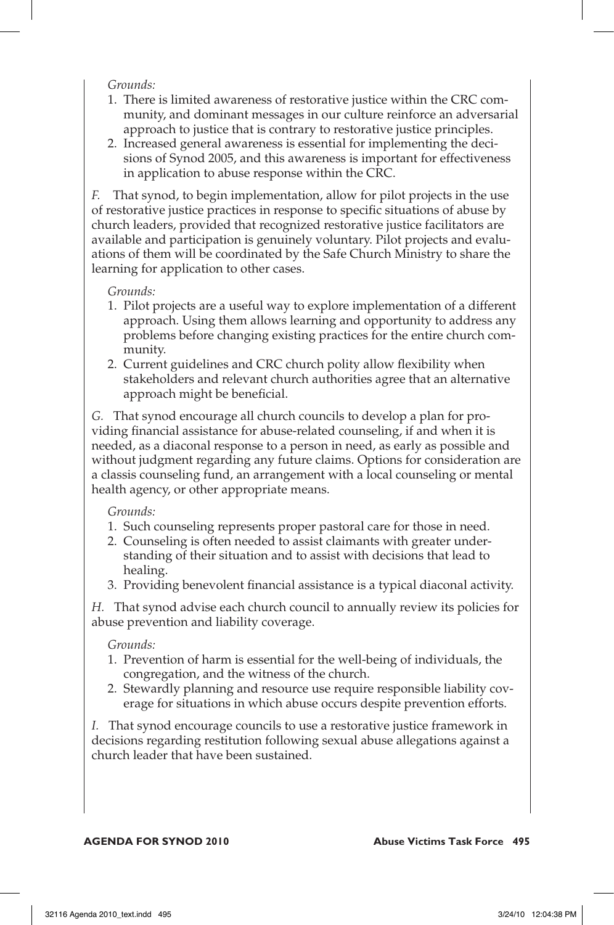## *Grounds:*

- 1. There is limited awareness of restorative justice within the CRC community, and dominant messages in our culture reinforce an adversarial approach to justice that is contrary to restorative justice principles.
- 2. Increased general awareness is essential for implementing the decisions of Synod 2005, and this awareness is important for effectiveness in application to abuse response within the CRC.

*F.* That synod, to begin implementation, allow for pilot projects in the use of restorative justice practices in response to specific situations of abuse by church leaders, provided that recognized restorative justice facilitators are available and participation is genuinely voluntary. Pilot projects and evaluations of them will be coordinated by the Safe Church Ministry to share the learning for application to other cases.

## *Grounds:*

- 1. Pilot projects are a useful way to explore implementation of a different approach. Using them allows learning and opportunity to address any problems before changing existing practices for the entire church community.
- 2. Current guidelines and CRC church polity allow flexibility when stakeholders and relevant church authorities agree that an alternative approach might be beneficial.

*G.* That synod encourage all church councils to develop a plan for providing financial assistance for abuse-related counseling, if and when it is needed, as a diaconal response to a person in need, as early as possible and without judgment regarding any future claims. Options for consideration are a classis counseling fund, an arrangement with a local counseling or mental health agency, or other appropriate means.

## *Grounds:*

- 1. Such counseling represents proper pastoral care for those in need.
- 2. Counseling is often needed to assist claimants with greater understanding of their situation and to assist with decisions that lead to healing.
- 3. Providing benevolent financial assistance is a typical diaconal activity.

*H.* That synod advise each church council to annually review its policies for abuse prevention and liability coverage.

## *Grounds:*

- 1. Prevention of harm is essential for the well-being of individuals, the congregation, and the witness of the church.
- 2. Stewardly planning and resource use require responsible liability coverage for situations in which abuse occurs despite prevention efforts.

*I.* That synod encourage councils to use a restorative justice framework in decisions regarding restitution following sexual abuse allegations against a church leader that have been sustained.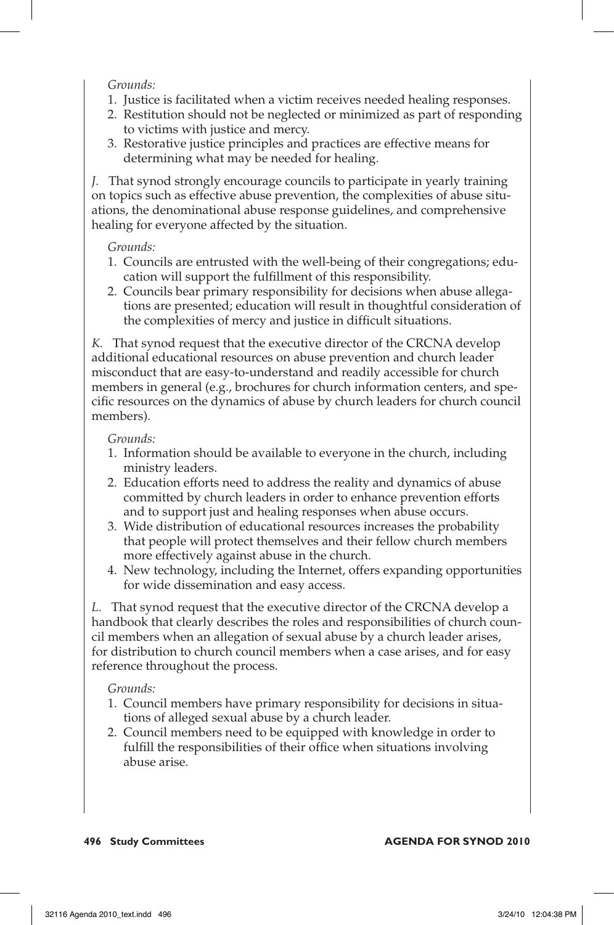## *Grounds:*

- 1. Justice is facilitated when a victim receives needed healing responses.
- 2. Restitution should not be neglected or minimized as part of responding to victims with justice and mercy.
- 3. Restorative justice principles and practices are effective means for determining what may be needed for healing.

*J.* That synod strongly encourage councils to participate in yearly training on topics such as effective abuse prevention, the complexities of abuse situations, the denominational abuse response guidelines, and comprehensive healing for everyone affected by the situation.

## *Grounds:*

- 1. Councils are entrusted with the well-being of their congregations; education will support the fulfillment of this responsibility.
- 2. Councils bear primary responsibility for decisions when abuse allegations are presented; education will result in thoughtful consideration of the complexities of mercy and justice in difficult situations.

*K.* That synod request that the executive director of the CRCNA develop additional educational resources on abuse prevention and church leader misconduct that are easy-to-understand and readily accessible for church members in general (e.g., brochures for church information centers, and specific resources on the dynamics of abuse by church leaders for church council members).

## *Grounds:*

- 1. Information should be available to everyone in the church, including ministry leaders.
- 2. Education efforts need to address the reality and dynamics of abuse committed by church leaders in order to enhance prevention efforts and to support just and healing responses when abuse occurs.
- 3. Wide distribution of educational resources increases the probability that people will protect themselves and their fellow church members more effectively against abuse in the church.
- 4. New technology, including the Internet, offers expanding opportunities for wide dissemination and easy access.

*L.* That synod request that the executive director of the CRCNA develop a handbook that clearly describes the roles and responsibilities of church council members when an allegation of sexual abuse by a church leader arises, for distribution to church council members when a case arises, and for easy reference throughout the process.

## *Grounds:*

- 1. Council members have primary responsibility for decisions in situations of alleged sexual abuse by a church leader.
- 2. Council members need to be equipped with knowledge in order to fulfill the responsibilities of their office when situations involving abuse arise.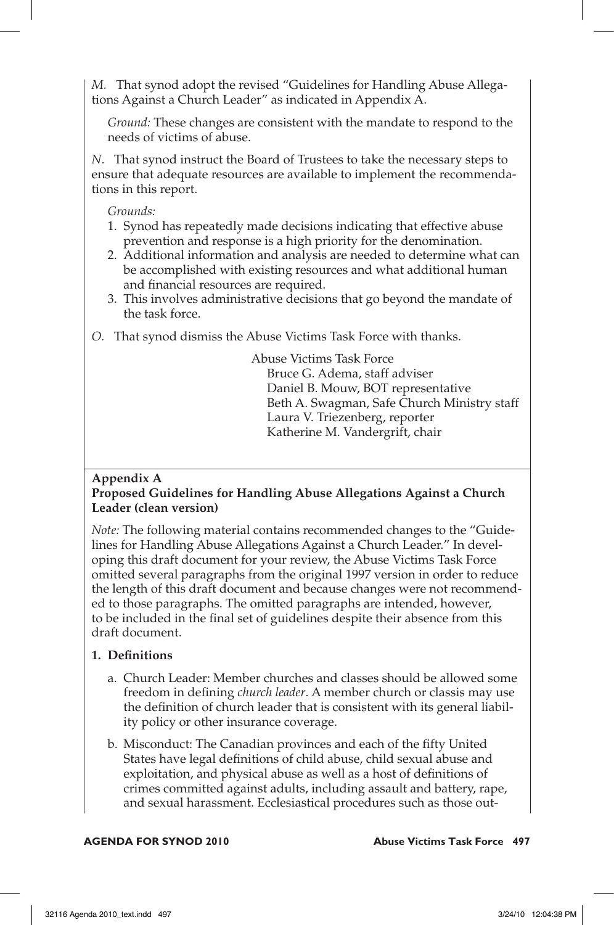*M.* That synod adopt the revised "Guidelines for Handling Abuse Allegations Against a Church Leader" as indicated in Appendix A.

*Ground:* These changes are consistent with the mandate to respond to the needs of victims of abuse.

*N*. That synod instruct the Board of Trustees to take the necessary steps to ensure that adequate resources are available to implement the recommendations in this report.

*Grounds:*

- 1. Synod has repeatedly made decisions indicating that effective abuse prevention and response is a high priority for the denomination.
- 2. Additional information and analysis are needed to determine what can be accomplished with existing resources and what additional human and financial resources are required.
- 3. This involves administrative decisions that go beyond the mandate of the task force.
- *O.* That synod dismiss the Abuse Victims Task Force with thanks.

Abuse Victims Task Force Bruce G. Adema, staff adviser Daniel B. Mouw, BOT representative Beth A. Swagman, Safe Church Ministry staff Laura V. Triezenberg, reporter Katherine M. Vandergrift, chair

# **Appendix A**

# **Proposed Guidelines for Handling Abuse Allegations Against a Church Leader (clean version)**

*Note:* The following material contains recommended changes to the "Guidelines for Handling Abuse Allegations Against a Church Leader." In developing this draft document for your review, the Abuse Victims Task Force omitted several paragraphs from the original 1997 version in order to reduce the length of this draft document and because changes were not recommended to those paragraphs. The omitted paragraphs are intended, however, to be included in the final set of guidelines despite their absence from this draft document.

# **1. Definitions**

- a. Church Leader: Member churches and classes should be allowed some freedom in defining *church leader*. A member church or classis may use the definition of church leader that is consistent with its general liability policy or other insurance coverage.
- b. Misconduct: The Canadian provinces and each of the fifty United States have legal definitions of child abuse, child sexual abuse and exploitation, and physical abuse as well as a host of definitions of crimes committed against adults, including assault and battery, rape, and sexual harassment. Ecclesiastical procedures such as those out-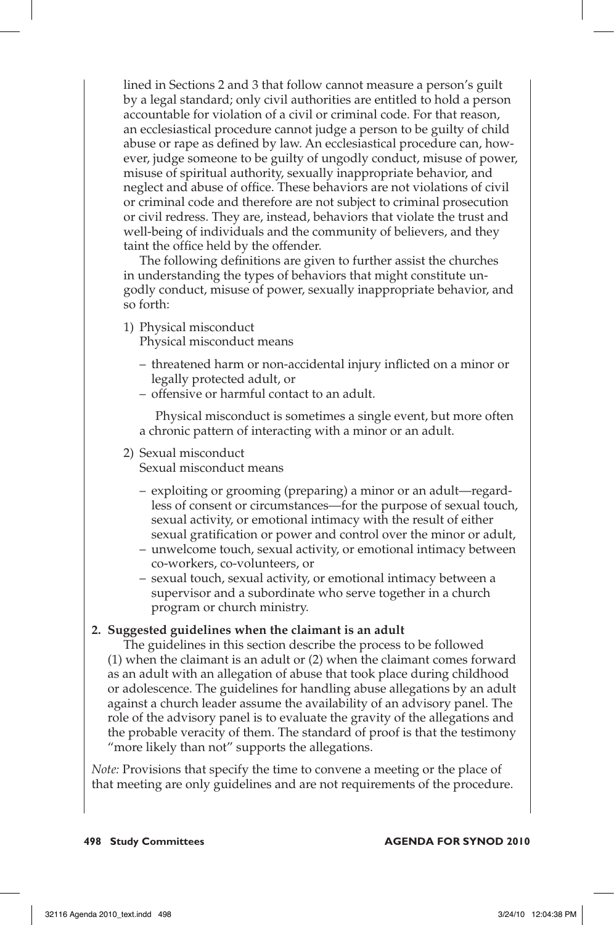lined in Sections 2 and 3 that follow cannot measure a person's guilt by a legal standard; only civil authorities are entitled to hold a person accountable for violation of a civil or criminal code. For that reason, an ecclesiastical procedure cannot judge a person to be guilty of child abuse or rape as defined by law. An ecclesiastical procedure can, however, judge someone to be guilty of ungodly conduct, misuse of power, misuse of spiritual authority, sexually inappropriate behavior, and neglect and abuse of office. These behaviors are not violations of civil or criminal code and therefore are not subject to criminal prosecution or civil redress. They are, instead, behaviors that violate the trust and well-being of individuals and the community of believers, and they taint the office held by the offender.

 The following definitions are given to further assist the churches in understanding the types of behaviors that might constitute ungodly conduct, misuse of power, sexually inappropriate behavior, and so forth:

- 1) Physical misconduct Physical misconduct means
	- threatened harm or non-accidental injury inflicted on a minor or legally protected adult, or
	- offensive or harmful contact to an adult.

 Physical misconduct is sometimes a single event, but more often a chronic pattern of interacting with a minor or an adult.

2) Sexual misconduct

Sexual misconduct means

- exploiting or grooming (preparing) a minor or an adult—regardless of consent or circumstances—for the purpose of sexual touch, sexual activity, or emotional intimacy with the result of either sexual gratification or power and control over the minor or adult,
- unwelcome touch, sexual activity, or emotional intimacy between co-workers, co-volunteers, or
- sexual touch, sexual activity, or emotional intimacy between a supervisor and a subordinate who serve together in a church program or church ministry.

# **2. Suggested guidelines when the claimant is an adult**

 The guidelines in this section describe the process to be followed (1) when the claimant is an adult or (2) when the claimant comes forward as an adult with an allegation of abuse that took place during childhood or adolescence. The guidelines for handling abuse allegations by an adult against a church leader assume the availability of an advisory panel. The role of the advisory panel is to evaluate the gravity of the allegations and the probable veracity of them. The standard of proof is that the testimony "more likely than not" supports the allegations.

*Note:* Provisions that specify the time to convene a meeting or the place of that meeting are only guidelines and are not requirements of the procedure.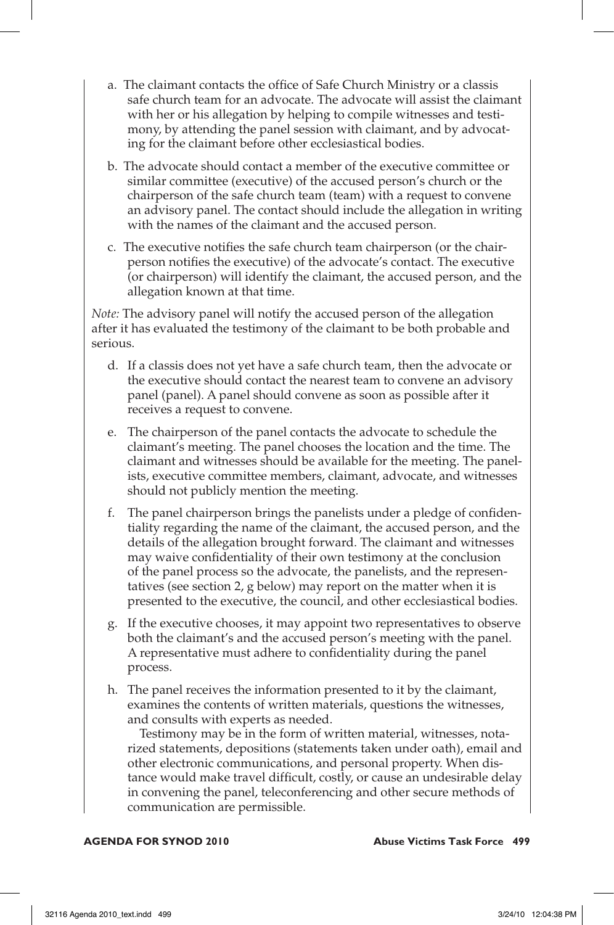- a. The claimant contacts the office of Safe Church Ministry or a classis safe church team for an advocate. The advocate will assist the claimant with her or his allegation by helping to compile witnesses and testimony, by attending the panel session with claimant, and by advocating for the claimant before other ecclesiastical bodies.
- b. The advocate should contact a member of the executive committee or similar committee (executive) of the accused person's church or the chairperson of the safe church team (team) with a request to convene an advisory panel. The contact should include the allegation in writing with the names of the claimant and the accused person.
- c. The executive notifies the safe church team chairperson (or the chairperson notifies the executive) of the advocate's contact. The executive (or chairperson) will identify the claimant, the accused person, and the allegation known at that time.

*Note:* The advisory panel will notify the accused person of the allegation after it has evaluated the testimony of the claimant to be both probable and serious.

- d. If a classis does not yet have a safe church team, then the advocate or the executive should contact the nearest team to convene an advisory panel (panel). A panel should convene as soon as possible after it receives a request to convene.
- e. The chairperson of the panel contacts the advocate to schedule the claimant's meeting. The panel chooses the location and the time. The claimant and witnesses should be available for the meeting. The panelists, executive committee members, claimant, advocate, and witnesses should not publicly mention the meeting.
- f. The panel chairperson brings the panelists under a pledge of confidentiality regarding the name of the claimant, the accused person, and the details of the allegation brought forward. The claimant and witnesses may waive confidentiality of their own testimony at the conclusion of the panel process so the advocate, the panelists, and the representatives (see section 2, g below) may report on the matter when it is presented to the executive, the council, and other ecclesiastical bodies.
- g. If the executive chooses, it may appoint two representatives to observe both the claimant's and the accused person's meeting with the panel. A representative must adhere to confidentiality during the panel process.
- h. The panel receives the information presented to it by the claimant, examines the contents of written materials, questions the witnesses, and consults with experts as needed.

 Testimony may be in the form of written material, witnesses, notarized statements, depositions (statements taken under oath), email and other electronic communications, and personal property. When distance would make travel difficult, costly, or cause an undesirable delay in convening the panel, teleconferencing and other secure methods of communication are permissible.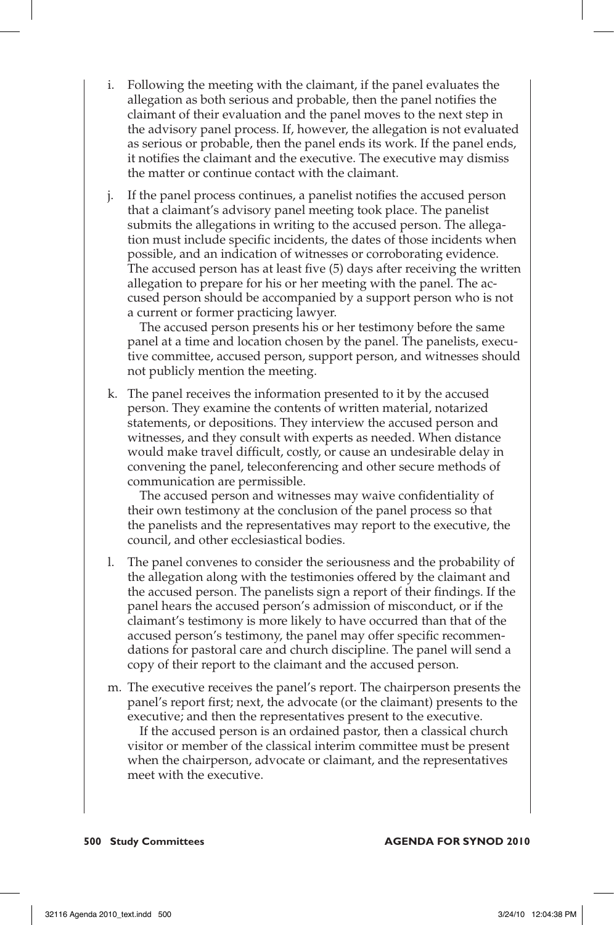- i. Following the meeting with the claimant, if the panel evaluates the allegation as both serious and probable, then the panel notifies the claimant of their evaluation and the panel moves to the next step in the advisory panel process. If, however, the allegation is not evaluated as serious or probable, then the panel ends its work. If the panel ends, it notifies the claimant and the executive. The executive may dismiss the matter or continue contact with the claimant.
- j. If the panel process continues, a panelist notifies the accused person that a claimant's advisory panel meeting took place. The panelist submits the allegations in writing to the accused person. The allegation must include specific incidents, the dates of those incidents when possible, and an indication of witnesses or corroborating evidence. The accused person has at least five (5) days after receiving the written allegation to prepare for his or her meeting with the panel. The accused person should be accompanied by a support person who is not a current or former practicing lawyer.

 The accused person presents his or her testimony before the same panel at a time and location chosen by the panel. The panelists, executive committee, accused person, support person, and witnesses should not publicly mention the meeting.

k. The panel receives the information presented to it by the accused person. They examine the contents of written material, notarized statements, or depositions. They interview the accused person and witnesses, and they consult with experts as needed. When distance would make travel difficult, costly, or cause an undesirable delay in convening the panel, teleconferencing and other secure methods of communication are permissible.

 The accused person and witnesses may waive confidentiality of their own testimony at the conclusion of the panel process so that the panelists and the representatives may report to the executive, the council, and other ecclesiastical bodies.

- l. The panel convenes to consider the seriousness and the probability of the allegation along with the testimonies offered by the claimant and the accused person. The panelists sign a report of their findings. If the panel hears the accused person's admission of misconduct, or if the claimant's testimony is more likely to have occurred than that of the accused person's testimony, the panel may offer specific recommendations for pastoral care and church discipline. The panel will send a copy of their report to the claimant and the accused person.
- m. The executive receives the panel's report. The chairperson presents the panel's report first; next, the advocate (or the claimant) presents to the executive; and then the representatives present to the executive.

 If the accused person is an ordained pastor, then a classical church visitor or member of the classical interim committee must be present when the chairperson, advocate or claimant, and the representatives meet with the executive.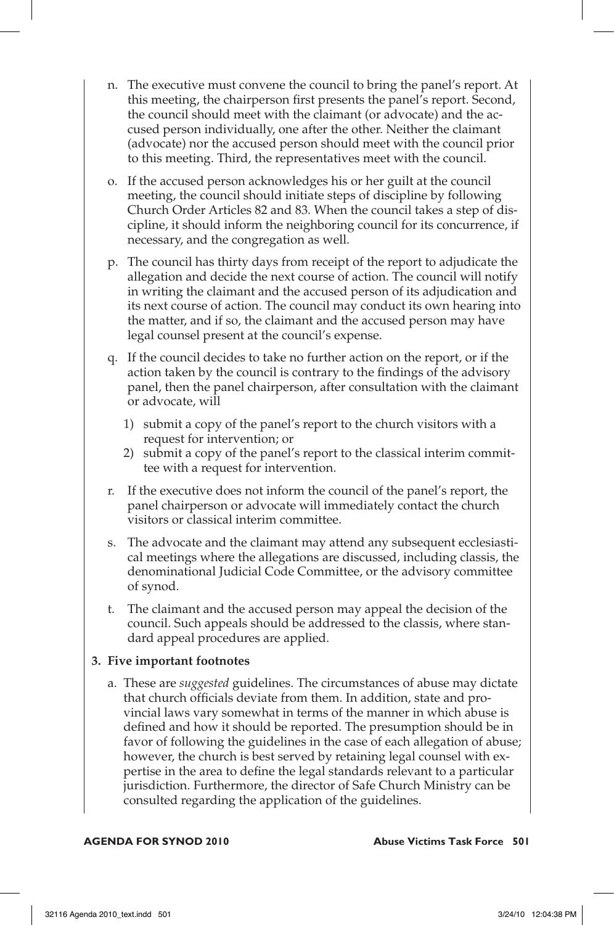- n. The executive must convene the council to bring the panel's report. At this meeting, the chairperson first presents the panel's report. Second, the council should meet with the claimant (or advocate) and the accused person individually, one after the other. Neither the claimant (advocate) nor the accused person should meet with the council prior to this meeting. Third, the representatives meet with the council.
- o. If the accused person acknowledges his or her guilt at the council meeting, the council should initiate steps of discipline by following Church Order Articles 82 and 83. When the council takes a step of discipline, it should inform the neighboring council for its concurrence, if necessary, and the congregation as well.
- p. The council has thirty days from receipt of the report to adjudicate the allegation and decide the next course of action. The council will notify in writing the claimant and the accused person of its adjudication and its next course of action. The council may conduct its own hearing into the matter, and if so, the claimant and the accused person may have legal counsel present at the council's expense.
- q. If the council decides to take no further action on the report, or if the action taken by the council is contrary to the findings of the advisory panel, then the panel chairperson, after consultation with the claimant or advocate, will
	- 1) submit a copy of the panel's report to the church visitors with a request for intervention; or
	- 2) submit a copy of the panel's report to the classical interim committee with a request for intervention.
- r. If the executive does not inform the council of the panel's report, the panel chairperson or advocate will immediately contact the church visitors or classical interim committee.
- s. The advocate and the claimant may attend any subsequent ecclesiastical meetings where the allegations are discussed, including classis, the denominational Judicial Code Committee, or the advisory committee of synod.
- t. The claimant and the accused person may appeal the decision of the council. Such appeals should be addressed to the classis, where standard appeal procedures are applied.

## **3. Five important footnotes**

a. These are *suggested* guidelines. The circumstances of abuse may dictate that church officials deviate from them. In addition, state and provincial laws vary somewhat in terms of the manner in which abuse is defined and how it should be reported. The presumption should be in favor of following the guidelines in the case of each allegation of abuse; however, the church is best served by retaining legal counsel with expertise in the area to define the legal standards relevant to a particular jurisdiction. Furthermore, the director of Safe Church Ministry can be consulted regarding the application of the guidelines.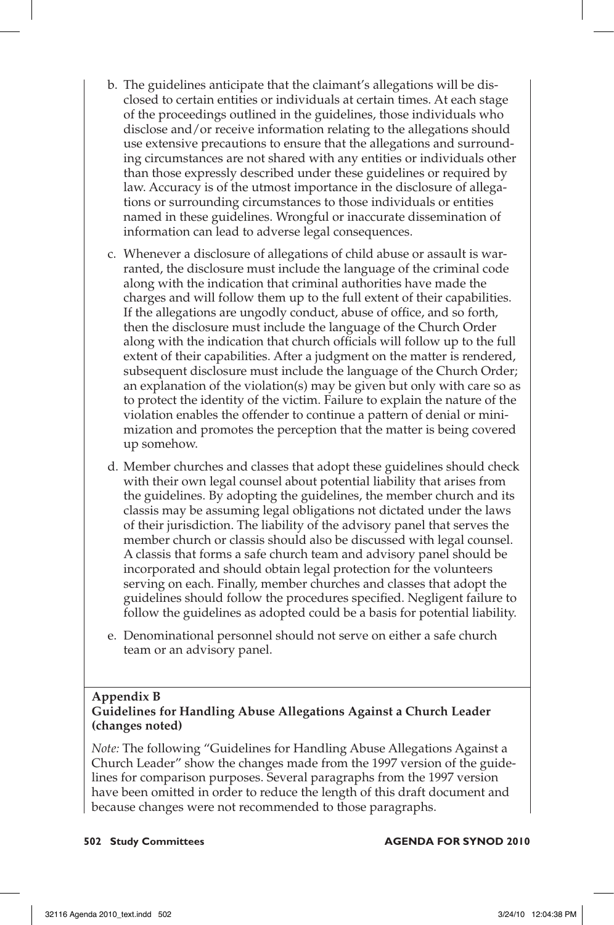- b. The guidelines anticipate that the claimant's allegations will be disclosed to certain entities or individuals at certain times. At each stage of the proceedings outlined in the guidelines, those individuals who disclose and/or receive information relating to the allegations should use extensive precautions to ensure that the allegations and surrounding circumstances are not shared with any entities or individuals other than those expressly described under these guidelines or required by law. Accuracy is of the utmost importance in the disclosure of allegations or surrounding circumstances to those individuals or entities named in these guidelines. Wrongful or inaccurate dissemination of information can lead to adverse legal consequences.
- c. Whenever a disclosure of allegations of child abuse or assault is warranted, the disclosure must include the language of the criminal code along with the indication that criminal authorities have made the charges and will follow them up to the full extent of their capabilities. If the allegations are ungodly conduct, abuse of office, and so forth, then the disclosure must include the language of the Church Order along with the indication that church officials will follow up to the full extent of their capabilities. After a judgment on the matter is rendered, subsequent disclosure must include the language of the Church Order; an explanation of the violation(s) may be given but only with care so as to protect the identity of the victim. Failure to explain the nature of the violation enables the offender to continue a pattern of denial or minimization and promotes the perception that the matter is being covered up somehow.
- d. Member churches and classes that adopt these guidelines should check with their own legal counsel about potential liability that arises from the guidelines. By adopting the guidelines, the member church and its classis may be assuming legal obligations not dictated under the laws of their jurisdiction. The liability of the advisory panel that serves the member church or classis should also be discussed with legal counsel. A classis that forms a safe church team and advisory panel should be incorporated and should obtain legal protection for the volunteers serving on each. Finally, member churches and classes that adopt the guidelines should follow the procedures specified. Negligent failure to follow the guidelines as adopted could be a basis for potential liability.
- e. Denominational personnel should not serve on either a safe church team or an advisory panel.

# **Appendix B**

## **Guidelines for Handling Abuse Allegations Against a Church Leader (changes noted)**

*Note:* The following "Guidelines for Handling Abuse Allegations Against a Church Leader" show the changes made from the 1997 version of the guidelines for comparison purposes. Several paragraphs from the 1997 version have been omitted in order to reduce the length of this draft document and because changes were not recommended to those paragraphs.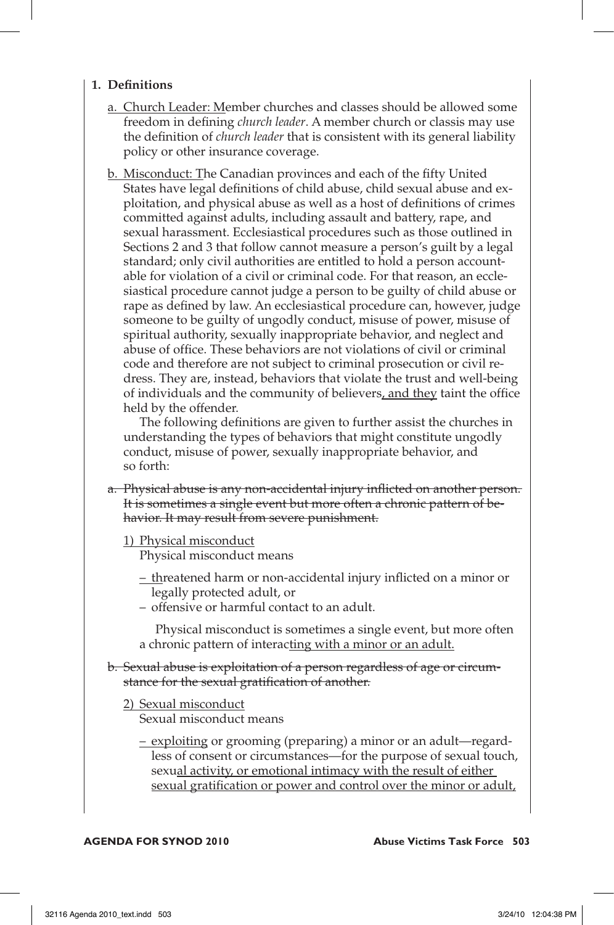## **1. Definitions**

- a. Church Leader: Member churches and classes should be allowed some freedom in defining *church leader*. A member church or classis may use the definition of *church leader* that is consistent with its general liability policy or other insurance coverage.
- b. Misconduct: The Canadian provinces and each of the fifty United States have legal definitions of child abuse, child sexual abuse and exploitation, and physical abuse as well as a host of definitions of crimes committed against adults, including assault and battery, rape, and sexual harassment. Ecclesiastical procedures such as those outlined in Sections 2 and 3 that follow cannot measure a person's guilt by a legal standard; only civil authorities are entitled to hold a person accountable for violation of a civil or criminal code. For that reason, an ecclesiastical procedure cannot judge a person to be guilty of child abuse or rape as defined by law. An ecclesiastical procedure can, however, judge someone to be guilty of ungodly conduct, misuse of power, misuse of spiritual authority, sexually inappropriate behavior, and neglect and abuse of office. These behaviors are not violations of civil or criminal code and therefore are not subject to criminal prosecution or civil redress. They are, instead, behaviors that violate the trust and well-being of individuals and the community of believers, and they taint the office held by the offender.

 The following definitions are given to further assist the churches in understanding the types of behaviors that might constitute ungodly conduct, misuse of power, sexually inappropriate behavior, and so forth:

- a. Physical abuse is any non-accidental injury inflicted on another person. It is sometimes a single event but more often a chronic pattern of behavior. It may result from severe punishment.
	- 1) Physical misconduct Physical misconduct means
		- threatened harm or non-accidental injury inflicted on a minor or legally protected adult, or
		- offensive or harmful contact to an adult.

 Physical misconduct is sometimes a single event, but more often a chronic pattern of interacting with a minor or an adult.

b. Sexual abuse is exploitation of a person regardless of age or circumstance for the sexual gratification of another.

2) Sexual misconduct Sexual misconduct means

> – exploiting or grooming (preparing) a minor or an adult—regardless of consent or circumstances—for the purpose of sexual touch, sexual activity, or emotional intimacy with the result of either sexual gratification or power and control over the minor or adult,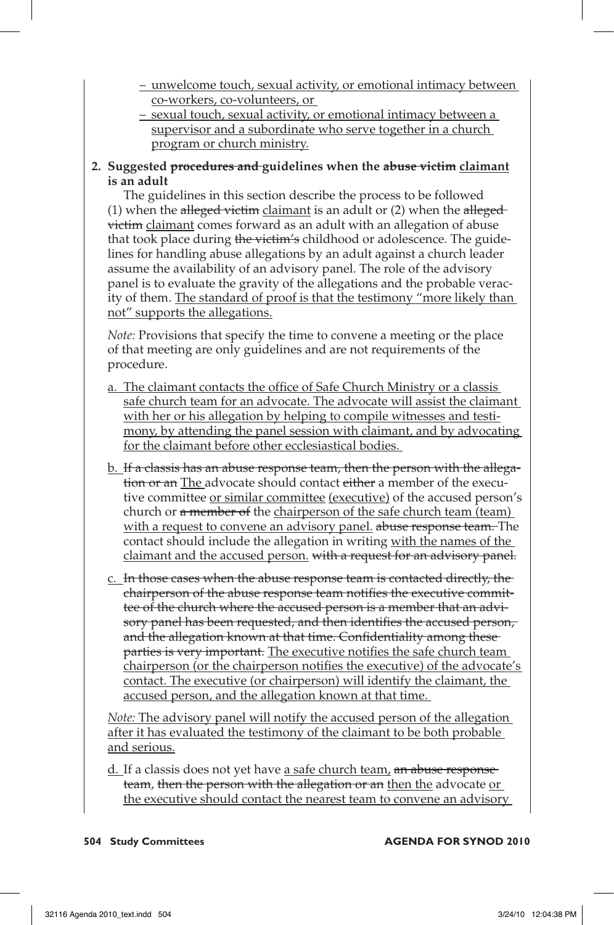- unwelcome touch, sexual activity, or emotional intimacy between co-workers, co-volunteers, or
- sexual touch, sexual activity, or emotional intimacy between a supervisor and a subordinate who serve together in a church program or church ministry.

## **2. Suggested procedures and guidelines when the abuse victim claimant is an adult**

 The guidelines in this section describe the process to be followed (1) when the alleged victim claimant is an adult or  $(2)$  when the allegedvictim claimant comes forward as an adult with an allegation of abuse that took place during the victim's childhood or adolescence. The guidelines for handling abuse allegations by an adult against a church leader assume the availability of an advisory panel. The role of the advisory panel is to evaluate the gravity of the allegations and the probable veracity of them. The standard of proof is that the testimony "more likely than not" supports the allegations.

*Note:* Provisions that specify the time to convene a meeting or the place of that meeting are only guidelines and are not requirements of the procedure.

- a. The claimant contacts the office of Safe Church Ministry or a classis safe church team for an advocate. The advocate will assist the claimant with her or his allegation by helping to compile witnesses and testimony, by attending the panel session with claimant, and by advocating for the claimant before other ecclesiastical bodies.
- b. If a classis has an abuse response team, then the person with the allegation or an The advocate should contact either a member of the executive committee or similar committee (executive) of the accused person's church or a member of the chairperson of the safe church team (team) with a request to convene an advisory panel, abuse response team. The contact should include the allegation in writing with the names of the claimant and the accused person. with a request for an advisory panel.
- c. In those cases when the abuse response team is contacted directly, the chairperson of the abuse response team notifies the executive committee of the church where the accused person is a member that an advisory panel has been requested, and then identifies the accused person, and the allegation known at that time. Confidentiality among these parties is very important. The executive notifies the safe church team chairperson (or the chairperson notifies the executive) of the advocate's contact. The executive (or chairperson) will identify the claimant, the accused person, and the allegation known at that time.

*Note:* The advisory panel will notify the accused person of the allegation after it has evaluated the testimony of the claimant to be both probable and serious.

d. If a classis does not yet have a safe church team, an abuse response team, then the person with the allegation or an then the advocate or the executive should contact the nearest team to convene an advisory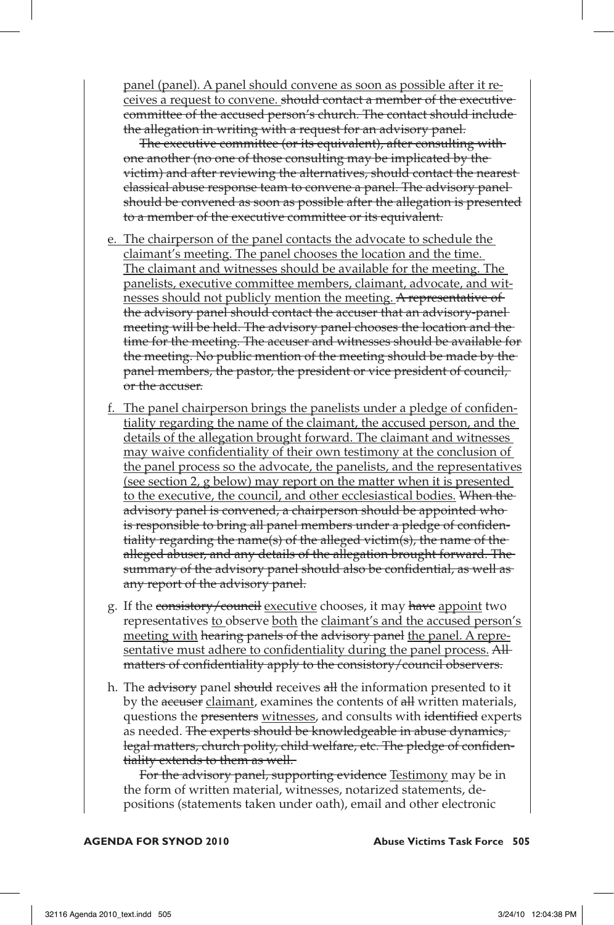panel (panel). A panel should convene as soon as possible after it receives a request to convene. should contact a member of the executive committee of the accused person's church. The contact should include the allegation in writing with a request for an advisory panel.

 The executive committee (or its equivalent), after consulting with one another (no one of those consulting may be implicated by the victim) and after reviewing the alternatives, should contact the nearest classical abuse response team to convene a panel. The advisory panel should be convened as soon as possible after the allegation is presented to a member of the executive committee or its equivalent.

- e. The chairperson of the panel contacts the advocate to schedule the claimant's meeting. The panel chooses the location and the time. The claimant and witnesses should be available for the meeting. The panelists, executive committee members, claimant, advocate, and witnesses should not publicly mention the meeting. A representative of the advisory panel should contact the accuser that an advisory-panel meeting will be held. The advisory panel chooses the location and the time for the meeting. The accuser and witnesses should be available for the meeting. No public mention of the meeting should be made by the panel members, the pastor, the president or vice president of council, or the accuser.
- f. The panel chairperson brings the panelists under a pledge of confidentiality regarding the name of the claimant, the accused person, and the details of the allegation brought forward. The claimant and witnesses may waive confidentiality of their own testimony at the conclusion of the panel process so the advocate, the panelists, and the representatives (see section 2, g below) may report on the matter when it is presented to the executive, the council, and other ecclesiastical bodies. When the advisory panel is convened, a chairperson should be appointed who is responsible to bring all panel members under a pledge of confidentiality regarding the name(s) of the alleged victim(s), the name of the alleged abuser, and any details of the allegation brought forward. The summary of the advisory panel should also be confidential, as well as any report of the advisory panel.
- g. If the consistory/council executive chooses, it may have appoint two representatives to observe both the claimant's and the accused person's meeting with hearing panels of the advisory panel the panel. A representative must adhere to confidentiality during the panel process. All matters of confidentiality apply to the consistory/council observers.
- h. The advisory panel should receives all the information presented to it by the accuser claimant, examines the contents of all written materials, questions the presenters witnesses, and consults with identified experts as needed. The experts should be knowledgeable in abuse dynamics, legal matters, church polity, child welfare, etc. The pledge of confidentiality extends to them as well.

For the advisory panel, supporting evidence Testimony may be in the form of written material, witnesses, notarized statements, depositions (statements taken under oath), email and other electronic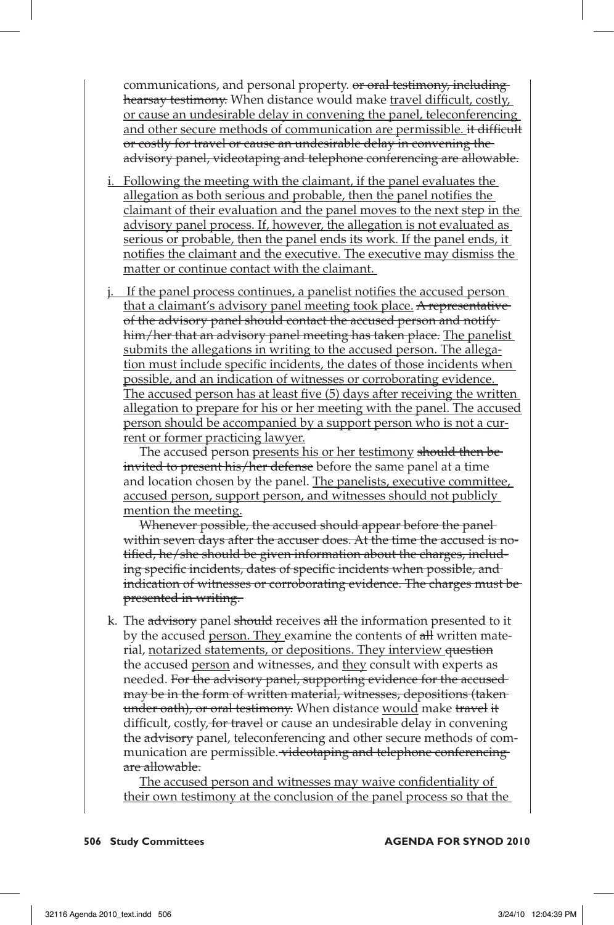communications, and personal property. or oral testimony, including hearsay testimony. When distance would make travel difficult, costly, or cause an undesirable delay in convening the panel, teleconferencing and other secure methods of communication are permissible. it difficult or costly for travel or cause an undesirable delay in convening the advisory panel, videotaping and telephone conferencing are allowable.

- i. Following the meeting with the claimant, if the panel evaluates the allegation as both serious and probable, then the panel notifies the claimant of their evaluation and the panel moves to the next step in the advisory panel process. If, however, the allegation is not evaluated as serious or probable, then the panel ends its work. If the panel ends, it notifies the claimant and the executive. The executive may dismiss the matter or continue contact with the claimant.
- j. If the panel process continues, a panelist notifies the accused person that a claimant's advisory panel meeting took place. A representative of the advisory panel should contact the accused person and notify him/her that an advisory panel meeting has taken place. The panelist submits the allegations in writing to the accused person. The allegation must include specific incidents, the dates of those incidents when possible, and an indication of witnesses or corroborating evidence. The accused person has at least five (5) days after receiving the written allegation to prepare for his or her meeting with the panel. The accused person should be accompanied by a support person who is not a current or former practicing lawyer.

The accused person presents his or her testimony should then beinvited to present his/her defense before the same panel at a time and location chosen by the panel. The panelists, executive committee, accused person, support person, and witnesses should not publicly mention the meeting.

Whenever possible, the accused should appear before the panelwithin seven days after the accuser does. At the time the accused is notified, he/she should be given information about the charges, including specific incidents, dates of specific incidents when possible, and indication of witnesses or corroborating evidence. The charges must be presented in writing.

k. The advisory panel should receives all the information presented to it by the accused person. They examine the contents of all written material, notarized statements, or depositions. They interview question the accused person and witnesses, and they consult with experts as needed. For the advisory panel, supporting evidence for the accusedmay be in the form of written material, witnesses, depositions (taken under oath), or oral testimony. When distance would make travel it difficult, costly, for travel or cause an undesirable delay in convening the advisory panel, teleconferencing and other secure methods of communication are permissible. videotaping and telephone conferencing are allowable.

 The accused person and witnesses may waive confidentiality of their own testimony at the conclusion of the panel process so that the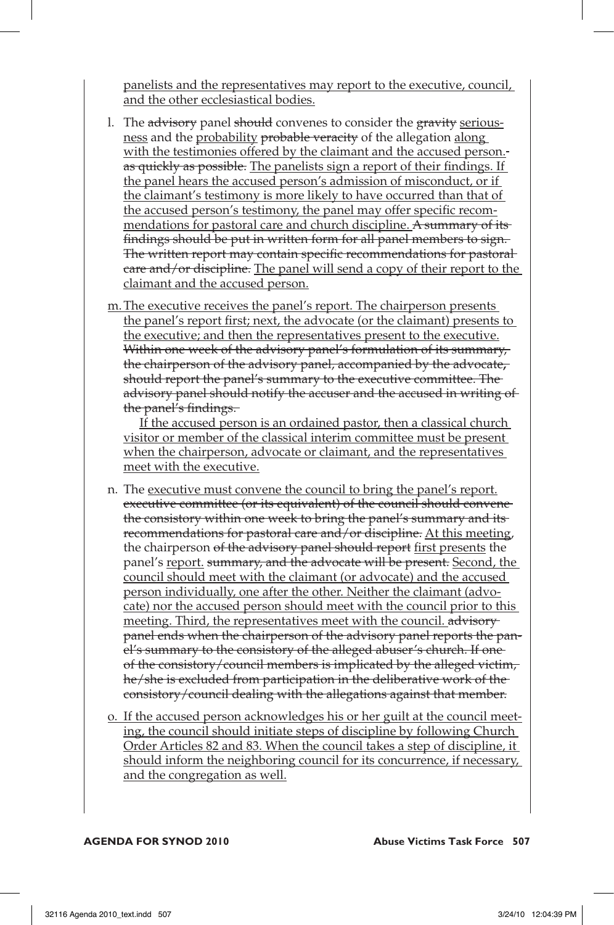panelists and the representatives may report to the executive, council, and the other ecclesiastical bodies.

- l. The advisory panel should convenes to consider the gravity seriousness and the probability probable veracity of the allegation along with the testimonies offered by the claimant and the accused person. as quickly as possible. The panelists sign a report of their findings. If the panel hears the accused person's admission of misconduct, or if the claimant's testimony is more likely to have occurred than that of the accused person's testimony, the panel may offer specific recommendations for pastoral care and church discipline. A summary of its findings should be put in written form for all panel members to sign. The written report may contain specific recommendations for pastoral care and/or discipline. The panel will send a copy of their report to the claimant and the accused person.
- m. The executive receives the panel's report. The chairperson presents the panel's report first; next, the advocate (or the claimant) presents to the executive; and then the representatives present to the executive. Within one week of the advisory panel's formulation of its summary, the chairperson of the advisory panel, accompanied by the advocate**,**  should report the panel's summary to the executive committee. The advisory panel should notify the accuser and the accused in writing of the panel's findings.

 If the accused person is an ordained pastor, then a classical church visitor or member of the classical interim committee must be present when the chairperson, advocate or claimant, and the representatives meet with the executive.

- n. The executive must convene the council to bring the panel's report. executive committee (or its equivalent) of the council should convene the consistory within one week to bring the panel's summary and its recommendations for pastoral care and/or discipline. At this meeting, the chairperson of the advisory panel should report first presents the panel's report. summary, and the advocate will be present. Second, the council should meet with the claimant (or advocate) and the accused person individually, one after the other. Neither the claimant (advocate) nor the accused person should meet with the council prior to this meeting. Third, the representatives meet with the council. advisorypanel ends when the chairperson of the advisory panel reports the panel's summary to the consistory of the alleged abuser's church. If oneof the consistory/council members is implicated by the alleged victim, he/she is excluded from participation in the deliberative work of the consistory/council dealing with the allegations against that member.
- o. If the accused person acknowledges his or her guilt at the council meeting, the council should initiate steps of discipline by following Church Order Articles 82 and 83. When the council takes a step of discipline, it should inform the neighboring council for its concurrence, if necessary, and the congregation as well.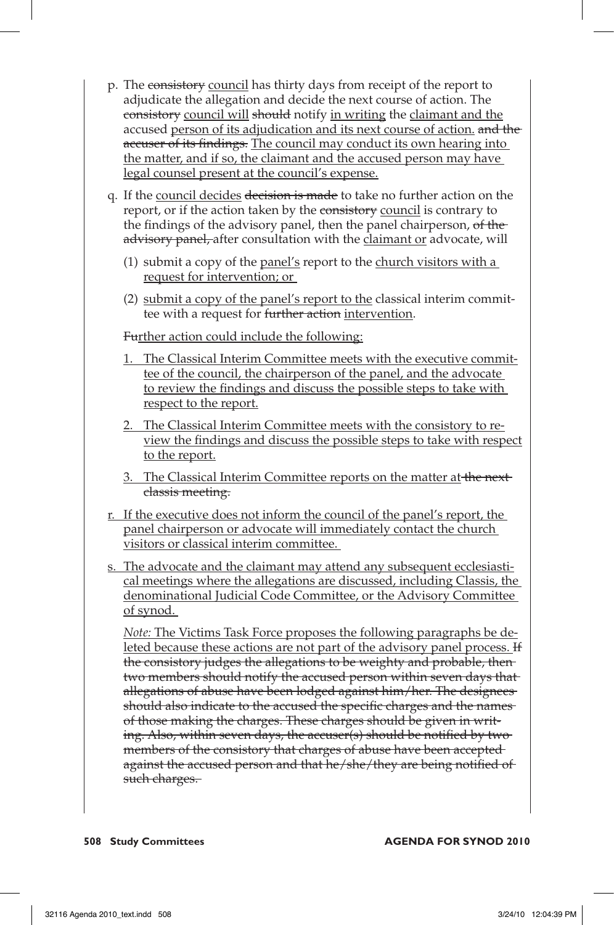- p. The consistory council has thirty days from receipt of the report to adjudicate the allegation and decide the next course of action. The consistory council will should notify in writing the claimant and the accused person of its adjudication and its next course of action, and the accuser of its findings. The council may conduct its own hearing into the matter, and if so, the claimant and the accused person may have legal counsel present at the council's expense.
- q. If the council decides decision is made to take no further action on the report, or if the action taken by the consistory council is contrary to the findings of the advisory panel, then the panel chairperson, of the advisory panel, after consultation with the claimant or advocate, will
	- (1) submit a copy of the panel's report to the church visitors with a request for intervention; or
	- (2) submit a copy of the panel's report to the classical interim committee with a request for further action intervention.

Further action could include the following:

- 1. The Classical Interim Committee meets with the executive committee of the council, the chairperson of the panel, and the advocate to review the findings and discuss the possible steps to take with respect to the report.
- 2. The Classical Interim Committee meets with the consistory to review the findings and discuss the possible steps to take with respect to the report.
- 3. The Classical Interim Committee reports on the matter at the next classis meeting.
- r. If the executive does not inform the council of the panel's report, the panel chairperson or advocate will immediately contact the church visitors or classical interim committee.
- s. The advocate and the claimant may attend any subsequent ecclesiastical meetings where the allegations are discussed, including Classis, the denominational Judicial Code Committee, or the Advisory Committee of synod.

*Note:* The Victims Task Force proposes the following paragraphs be deleted because these actions are not part of the advisory panel process. If the consistory judges the allegations to be weighty and probable, then two members should notify the accused person within seven days that allegations of abuse have been lodged against him/her. The designees should also indicate to the accused the specific charges and the names of those making the charges. These charges should be given in writing. Also, within seven days, the accuser(s) should be notified by two members of the consistory that charges of abuse have been accepted against the accused person and that he/she/they are being notified of such charges.